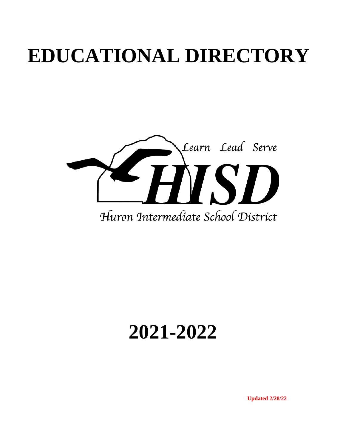# **EDUCATIONAL DIRECTORY**



# **2021-2022**

**Updated 2/28/22**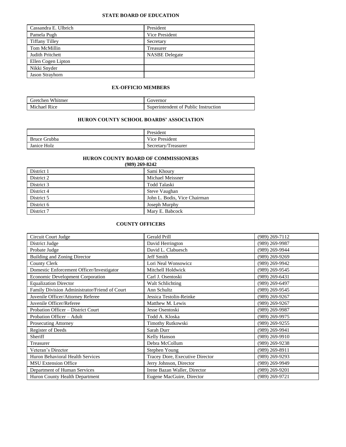#### **STATE BOARD OF EDUCATION**

| Cassandra E. Ulbrich  | President             |
|-----------------------|-----------------------|
| Pamela Pugh           | Vice President        |
| <b>Tiffany Tilley</b> | Secretary             |
| Tom McMillin          | Treasurer             |
| Judith Pritchett      | <b>NASBE</b> Delegate |
| Ellen Cogen Lipton    |                       |
| Nikki Snyder          |                       |
| Jason Strayhorn       |                       |

#### **EX-OFFICIO MEMBERS**

| Whitmer<br><b>rretchen</b>   | Governor                             |
|------------------------------|--------------------------------------|
| Michael<br>R <sub>1</sub> ce | Superintendent of Public Instruction |

#### **HURON COUNTY SCHOOL BOARDS' ASSOCIATION**

|              | President           |
|--------------|---------------------|
| Bruce Grubba | Vice President      |
| Janice Holz  | Secretary/Treasurer |

### **HURON COUNTY BOARD OF COMMISSIONERS**

| (989) 269-8242 |                              |  |  |
|----------------|------------------------------|--|--|
| District 1     | Sami Khoury                  |  |  |
| District 2     | Michael Meissner             |  |  |
| District 3     | Todd Talaski                 |  |  |
| District 4     | Steve Vaughan                |  |  |
| District 5     | John L. Bodis, Vice Chairman |  |  |
| District 6     | Joseph Murphy                |  |  |
| District 7     | Mary E. Babcock              |  |  |

#### **COUNTY OFFICERS**

| Circuit Court Judge                           | Gerald Prill                    | $(989)$ 269-7112 |
|-----------------------------------------------|---------------------------------|------------------|
| District Judge                                | David Herrington                | (989) 269-9987   |
| Probate Judge                                 | David L. Clabuesch              | (989) 269-9944   |
| <b>Building and Zoning Director</b>           | Jeff Smith                      | $(989)$ 269-9269 |
| <b>County Clerk</b>                           | Lori Neal Wonsowicz             | (989) 269-9942   |
| Domestic Enforcement Officer/Investigator     | Mitchell Holdwick               | (989) 269-9545   |
| <b>Economic Development Corporation</b>       | Carl J. Osentoski               | $(989)$ 269-6431 |
| <b>Equalization Director</b>                  | Walt Schlichting                | (989) 269-6497   |
| Family Division Administrator/Friend of Court | Ann Schultz                     | (989) 269-9545   |
| Juvenile Officer/Attorney Referee             | Jessica Testolin-Reinke         | $(989)$ 269-9267 |
| Juvenile Officer/Referee                      | Matthew M. Lewis                | (989) 269-9267   |
| Probation Officer - District Court            | Jesse Osentoski                 | (989) 269-9987   |
| Probation Officer - Adult                     | Todd A. Kloska                  | (989) 269-9975   |
| Prosecuting Attorney                          | <b>Timothy Rutkowski</b>        | (989) 269-9255   |
| Register of Deeds                             | Sarah Durr                      | (989) 269-9941   |
| Sheriff                                       | Kelly Hanson                    | (989) 269-9910   |
| Treasurer                                     | Debra McCollum                  | $(989)$ 269-9238 |
| Veteran's Director                            | Stephen Young                   | (989) 269-8911   |
| Huron Behavioral Health Services              | Tracey Dore, Executive Director | $(989)$ 269-9293 |
| <b>MSU Extension Office</b>                   | Jerry Johnson, Director         | (989) 269-9949   |
| Department of Human Services                  | Irene Bazan Waller, Director    | (989) 269-9201   |
| Huron County Health Department                | Eugene MacGuire, Director       | $(989)$ 269-9721 |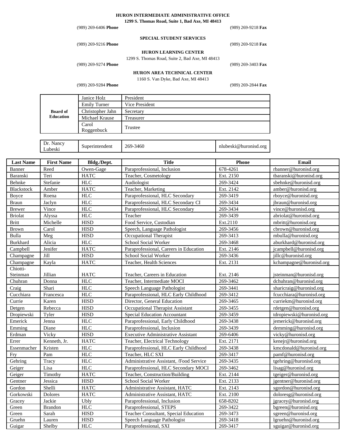# **HURON INTERMEDIATE ADMINISTRATIVE OFFICE**

**1299 S. Thomas Road, Suite 1, Bad Axe, MI 48413**

| $(989)$ 269-6406 <b>Phone</b> |                                 | $(989)$ 269-9218 Fax |
|-------------------------------|---------------------------------|----------------------|
|                               | <b>SPECIAL STUDENT SERVICES</b> |                      |
| $(989)$ 269-9216 Phone        |                                 | $(989)$ 269-9218 Fax |

#### **HURON LEARNING CENTER**

1299 S. Thomas Road, Suite 2, Bad Axe, MI 48413

# (989) 269-9274 **Phone** (989) 269-3403 **Fax**

**HURON AREA TECHNICAL CENTER**

1160 S. Van Dyke, Bad Axe, MI 48413

(989) 269-9284 **Phone** (989) 269-2844 **Fax**

| <b>Board of</b><br><b>Education</b> | Janice Holz         | President      |
|-------------------------------------|---------------------|----------------|
|                                     | <b>Emily Turner</b> | Vice President |
|                                     | Christopher Jahn    | Secretary      |
|                                     | Michael Krause      | Treasurer      |
|                                     | Carol<br>Roggenbuck | Trustee        |
|                                     |                     |                |

| Dr.<br>Nancy<br>-3460<br>269-′<br>nlubeski@huronisd.org<br>Superintendent<br>Lubeski |
|--------------------------------------------------------------------------------------|
|--------------------------------------------------------------------------------------|

| <b>Last Name</b> | <b>First Name</b> | Bldg./Dept. | <b>Title</b>                              | <b>Phone</b> | <b>Email</b>             |
|------------------|-------------------|-------------|-------------------------------------------|--------------|--------------------------|
| Banner           | Reed              | Owen-Gage   | Paraprofessional, Inclusion               | 678-4261     | rbanner@huronisd.org     |
| Baranski         | Teri              | <b>HATC</b> | Teacher, Cosmetology                      | Ext. 2150    | tbaranski@huronisd.org   |
| Behnke           | Stefanie          | ${\rm HLC}$ | Audiologist                               | 269-3424     | sbehnke@huronisd.org     |
| Blackstock       | Amber             | <b>HATC</b> | Teacher, Marketing                        | Ext. 2142    | amber@huronisd.org       |
| Boyce            | Roena             | HLC         | Paraprofessional, HLC Secondary           | 269-3419     | rboyce@huronisd.org      |
| <b>Braun</b>     | Jaclyn            | HLC         | Paraprofessional, HLC Secondary CI        | 269-3434     | jbraun@huronisd.org      |
| <b>Brewer</b>    | Vince             | <b>HLC</b>  | Paraprofessional, HLC Secondary           | 269-3434     | vince@huronisd.org       |
| <b>Briolat</b>   | Alyssa            | <b>HLC</b>  | Teacher                                   | 269-3439     | abriolat@huronisd.org    |
| <b>Britt</b>     | Michelle          | <b>HISD</b> | Food Service, Custodian                   | Ext.2110     | mbritt@huronisd.org      |
| Brown            | Carol             | <b>HISD</b> | Speech, Language Pathologist              | 269-3456     | cbrown@huronisd.org      |
| Bulla            | Meg               | <b>HISD</b> | Occupational Therapist                    | 269-3413     | mbulla@huronisd.org      |
| Burkhard         | Alicia            | <b>HLC</b>  | School Social Worker                      | 269-3468     | aburkhard@huronisd.org   |
| Campbell         | Jenifer           | <b>HATC</b> | Paraprofessional, Careers in Education    | Ext. 2146    | jcampbell@huronisd.org   |
| Champagne        | Jill              | <b>HISD</b> | School Social Worker                      | 269-3436     | jillc@huronisd.org       |
| Champagne        | Kayla             | <b>HATC</b> | Teacher, Health Sciences                  | Ext. 2131    | kchampagne@huronisd.org  |
| Chiotti-         |                   |             |                                           |              |                          |
| Steinman         | Jillian           | <b>HATC</b> | Teacher, Careers in Education             | Ext. 2146    | jsteinman@huronisd.org   |
| Chuhran          | Donna             | HLC         | Teacher, Intermediate MOCI                | 269-3462     | dchuhran@huronisd.org    |
| Craig            | Shari             | ${\rm HLC}$ | Speech Language Pathologist               | 269-3441     | sharicraig@huronisd.org  |
| Cucchiara        | Francesca         | HLC         | Paraprofessional, HLC Early Childhood     | 269-3412     | fcucchiara@huronisd.org  |
| Currie           | Karen             | <b>HISD</b> | Director, General Education               | 269-3465     | curriekm@huronisd.org    |
| Detgen           | Rebecca           | <b>HISD</b> | Occupational Therapist Assistant          | 269-3455     | rdetgen@huronisd.org     |
| Dropiewski       | Tyler             | <b>HISD</b> | <b>Special Education Accountant</b>       | 269-3459     | tdropiewski@huronisd.org |
| Emerick          | Jenna             | HLC         | Paraprofessional, Early Childhood         | 269-3438     | jemerick@huronisd.org    |
| Emming           | Diane             | <b>HLC</b>  | Paraprofessional, Inclusion               | 269-3439     | demming@huronisd.org     |
| Erdman           | Vicky             | <b>HISD</b> | <b>Executive Administrative Assistant</b> | 269-6406     | vicky@huronisd.org       |
| Errer            | Kenneth, Jr.      | <b>HATC</b> | Teacher, Electrical Technology            | Ext. 2171    | kenejr@huronisd.org      |
| Essenmacher      | Kristen           | ${\rm HLC}$ | Paraprofessional, HLC Early Childhood     | 269-3438     | kmcdonald@huronisd.org   |
| Fry              | Pam               | ${\rm HLC}$ | Teacher, HLC SXI                          | 269-3417     | pamf@huronisd.org        |
| Gehring          | Tracy             | <b>HLC</b>  | Administrative Assistant, /Food Service   | 269-3435     | tgehring@huronisd.org    |
| Geiger           | Lisa              | ${\rm HLC}$ | Paraprofessional, HLC Secondary MOCI      | 269-3462     | lisag@huronisd.org       |
| Geiger           | Timothy           | <b>HATC</b> | Teacher, Construction/Building            | Ext. 2144    | tgeiger@huronisd.org     |
| Gentner          | Jessica           | <b>HISD</b> | School Social Worker                      | Ext. 2133    | jgentner@huronisd.org    |
| Gordon           | Shelli            | <b>HATC</b> | Administrative Assistant, HATC            | Ext. 2143    | sgordon@huronisd.org     |
| Gorkowski        | Dolores           | <b>HATC</b> | Administrative Assistant, HATC            | Ext. 2100    | doloresg@huronisd.org    |
| Gracey           | Jackie            | Ubly        | Paraprofessional, Inclusion               | 658-8202     | jgracey@huronisd.org     |
| Green            | <b>Brandon</b>    | ${\rm HLC}$ | Paraprofessional, STEPS                   | 269-3422     | bgreen@huronisd.org      |
| Green            | Sarah             | <b>HISD</b> | Teacher Consultant, Special Education     | 269-3473     | sgreen@huronisd.org      |
| Gruehn           | Lauren            | <b>HISD</b> | Speech Language Pathologist               | 269-3418     | lgruehn@huronisd.org     |
| Guigar           | Shelby            | <b>HLC</b>  | Paraprofessional, SXI                     | 269-3417     | sguigar@huronisd.org     |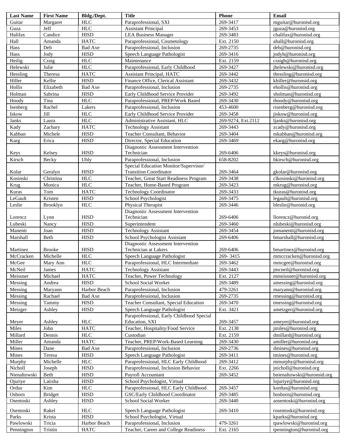| <b>Last Name</b> | <b>First Name</b> | Bldg./Dept.    | <b>Title</b>                              | Phone              | <b>Email</b>               |
|------------------|-------------------|----------------|-------------------------------------------|--------------------|----------------------------|
| Guitar           | Margaret          | <b>HLC</b>     | Paraprofessional, SXI                     | 269-3417           | mguitar@huronisd.org       |
| Guza             | Jeff              | <b>HLC</b>     | <b>Assistant Principal</b>                | 269-3453           | jguza@huronisd.org         |
| Halifax          | Candice           | <b>HISD</b>    | <b>LEA Business Manager</b>               | 269-3483           | chalifax@huronisd.org      |
| Hall             | Amanda            | <b>HATC</b>    | Paraprofessional, Cosmetology             | Ext. 2150          | ahall@huronisd.org         |
| Hass             | Deb               | <b>Bad Axe</b> | Paraprofessional, Inclusion               | 269-2735           | deb@huronisd.org           |
| Hass             | Jody              | <b>HISD</b>    | Speech Language Pathologist               | 269-3416           | jodyh@huronisd.org         |
| Heilig           | Craig             | <b>HLC</b>     | Maintenance                               | Ext. 2159          | craigh@huronisd.org        |
| Helewski         | Julie             | <b>HLC</b>     | Paraprofessional, Early Childhood         | 269-3427           | jhelewski@huronisd.org     |
| Hessling         | Theresa           | <b>HATC</b>    | <b>Assistant Principal, HATC</b>          | 269-3442           | thessling@huronisd.org     |
| Hiller           | Kellie            | <b>HISD</b>    | Finance Office, Clerical Assistant        | 269-3432           | khiller@huronsid.org       |
| Hollis           | Elizabeth         | <b>Bad Axe</b> | Paraprofessional, Inclusion               | 269-2735           | ehollis@huronisd.org       |
| Holman           | Sabrina           | <b>HISD</b>    | Early Childhood Service Provider          | 269-3492           | sholman@huronisd.org       |
| Hoody            | Tina              | <b>HLC</b>     | Paraprofessional, PREP/Work Based         | 269-3430           | thoody@huronisd.org        |
| Isenberg         | Rachel            | Lakers         | Paraprofessional, Inclusion               | 453-4600           | risenberg@huronisd.org     |
| Iskow            | Jill              | <b>HLC</b>     | Early Childhood Service Provider          | 269-3458           | jiskow@huronisd.org        |
| Janks            | Laura             | <b>HLC</b>     | Administrative Assistant, HLC             | 269-9274, Ext.2112 | ljanks@huronisd.org        |
| Kady             | Zachary           | <b>HATC</b>    | <b>Technology Assistant</b>               | 269-3443           | zcady@huronisd.org         |
| Kabban           | Michele           | <b>HISD</b>    | Teacher Consultant, Behavior              | 269-3404           | mkabban@huronisd.org       |
| Karg             | Erica             | <b>HISD</b>    | Director, Special Education               | 269-3469           | ekarg@huronisd.org         |
|                  |                   |                | Diagnostic Assessment Intervention        |                    |                            |
| Keys             | Kelsey            | <b>HISD</b>    | Technician                                | 269-6406           | kkeys@huronisd.org         |
| Kirsch           | Becky             | Ubly           | Paraprofessional, Inclusion               | 658-8202           | bkirsch@huronisd.org       |
|                  |                   |                | Special Education Monitor/Supervisor/     |                    |                            |
| Kolar            | Geralyn           | <b>HISD</b>    | <b>Transition Coordinator</b>             | 269-3464           | gkolar@huronisd.org        |
| Kosinski         | Christina         | <b>HLC</b>     | Teacher, Great Start Readiness Program    | 269-3438           | clkosinski@huronisd.org    |
| Krug             | Monica            | <b>HLC</b>     | Teacher, Home-Based Program               | 269-3423           | mkrug@huronisd.org         |
| Kuras            | Tom               | <b>HATC</b>    | <b>Technology Coordinator</b>             | 269-3433           | tkuras@huronisd.org        |
| LeGault          | Kristen           | <b>HISD</b>    | School Psychologist                       | 269-3475           | legault@huronisd.org       |
| Leslie           | <b>Brooklyn</b>   | <b>HLC</b>     | Physical Therapist                        | 269-3446           | bleslie@huronid.org        |
|                  |                   |                | Diagnostic Assessment Intervention        |                    |                            |
| Lorencz          | Lynn              | <b>HISD</b>    | Technician                                | 269-6406           | llorencz@huronid.org       |
| Lubeski          | Nancy             | <b>HISD</b>    | Superintendent                            | 269-3460           | nlubeski@huronisd.org      |
| Manenti          | Joan              | <b>HISD</b>    | <b>Technology Assistant</b>               | 269-3454           | jomanenti@huronisd.org     |
| Marshall         | Beth              | <b>HISD</b>    | School Psychologist Assistant             | 269-6406           | bmarshall@huronisd.org     |
|                  |                   |                | Diagnostic Assessment Intervention        |                    |                            |
| Martinez         | <b>Brooke</b>     | <b>HISD</b>    | Technician at Lakers                      | 269-6406           | bmartinez@huronisd.org     |
| McCracken        | Michelle          | <b>HLC</b>     | Speech Language Pathologist               | 269-3415           | mmccracken@huronisd.org    |
| McGee            | Mary Ann          | <b>HLC</b>     | Paraprofessional, HLC Intermediate        | 269-3462           | mmcgee@huronisd.org        |
| McNeil           | James             | <b>HATC</b>    | <b>Technology Assistant</b>               | 269-3443           | jmcneil@huronisd.org       |
| Meissner         | Michael           | <b>HATC</b>    | Teacher, Power Technology                 | Ext. 2127          | mmeissner@huronisd.org     |
| Messing          | Andrea            | <b>HISD</b>    | School Social Worker                      | 269-3489           | amessing@huronisd.org      |
| Messing          | Maryann           | Harbor Beach   | Paraprofessional, Inclusion               | 479-3261           | maryann@huronisd.org       |
| Messing          | Rachael           | Bad Axe        | Paraprofessional, Inclusion               | 269-2735           | rmessing@huronisd.org      |
| Messing          | Tammy             | <b>HISD</b>    | Teacher Consultant, Special Education     | 269-3470           | tmessing@huronisd.org      |
| Metzger          | Ashley            | <b>HISD</b>    | Speech Language Pathologist               | Ext. 3421          | ametzger@huronisd.org      |
|                  |                   |                | Paraprofessional, Early Childhood Special |                    |                            |
| Meyer            | Ashley            | <b>HLC</b>     | Education, SXI                            | 269-3457           | ameyer@huronisd.org        |
| Miles            | John              | <b>HATC</b>    | Teacher, Hospitality/Food Service         | Ext. 2138          | jmiles@huronisd.org        |
| Millard          | Dennis            | <b>HLC</b>     | Custodian                                 | Ext. 2159          | dmillard@huronisd.org      |
| Miller           | Amanda            | <b>HATC</b>    | Teacher, PREP/Work-Based Learning         | 269-3430           | amiller@huronisd.org       |
| Mines            | Dane              | <b>Bad Axe</b> | Paraprofessional, Inclusion               | 269-2736           | dmines@huronisd.org        |
| Mines            | Teresa            | <b>HISD</b>    | Speech Language Pathologist               | 269-3411           | tmines@huronisd.org        |
| Murphy           | Michelle          | <b>HLC</b>     | Paraprofessional, HLC Early Childhood     | 269-3412           | mmurphy@huronisd.org       |
| Nicholl          | Joseph            | <b>HISD</b>    | Paraprofessional, Inclusion Behavior      | Ext. 2266          | jnicholl@huronisd.org      |
| Nienaltowski     | Beth              | <b>HISD</b>    | Payroll Accountant                        | 269-3452           | bnienaltowski@huronsid.org |
| Ojuriye          | Latisha           | <b>HISD</b>    | School Psychologist, Virtual              |                    | lojuriye@huronisd.org      |
| Ordus            | Kim               | <b>HLC</b>     | Paraprofessional, HLC Early Childhood     | 269-3457           | kordus@huronisd.org        |
| Osborn           | Bridget           | <b>HISD</b>    | GSC/Early Childhood Coordinator           | 269-3485           | bosborn@huronisd.org       |
| Osentoski        | Ashley            | <b>HISD</b>    | School Social Worker                      | 269-3440           | aosentoski@huronisd.org    |
| Osentoski        | Rakel             | <b>HLC</b>     | Speech Language Pathologist               | 269-3410           | rosentoski@huronisd.org    |
| Parks            | Krista            | <b>HISD</b>    | School Psychologist, Virtual              |                    | kparks@huronisd.org        |
| Pawlowski        | Tricia            | Harbor Beach   | Paraprofessional, Inclusion               | 479-3261           | tpawlowski@huronisd.org    |
| Pennington       | Tristin           | <b>HATC</b>    | Teacher, Career and College Readiness     | Ext. 2165          | tpennington@huronisd.org   |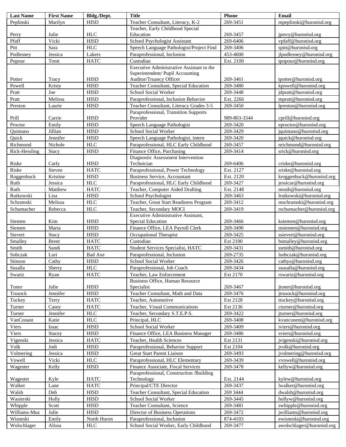| <b>Last Name</b> | <b>First Name</b> | Bldg./Dept.    | <b>Title</b>                              | Phone        | Email                     |
|------------------|-------------------|----------------|-------------------------------------------|--------------|---------------------------|
| Peplinski        | Marilyn           | <b>HISD</b>    | Teacher Consultant, Literacy, K-2         | 269-3451     | mpeplinski@huronisd.org   |
|                  |                   |                | Teacher, Early Childhood Special          |              |                           |
| Perry            | Julie             | <b>HLC</b>     | Education                                 | 269-3457     | jperry@huronisd.org       |
| Pfaff            | Vicki             | <b>HISD</b>    | School Psychologist Assistant             | 269-6406     | vpfaff@huronisd.org       |
| Pitt             | Sara              | <b>HLC</b>     | Speech Language Pathologist/Project Find  | 269-3406     | spitt@huronisd.org        |
| Podlesney        | Jessica           | Lakers         | Paraprofessional, Inclusion               | 453-4600     | jlpodlesney@huronisd.org  |
| Popour           | Trent             | <b>HATC</b>    | Custodian                                 | Ext. 2100    | tpopour@huronisd.org      |
|                  |                   |                | Executive Administrative Assistant to the |              |                           |
|                  |                   |                | Superintendent/ Pupil Accounting          |              |                           |
| Potter           | Tracy             | <b>HISD</b>    | Auditor/Truancy Officer                   | 269-3461     | tpotter@huronisd.org      |
| Powell           | Kristy            | <b>HISD</b>    | Teacher Consultant, Special Education     | 269-3480     | kpowell@huronisd.org      |
| Pratt            | Joe               | <b>HISD</b>    | School Social Worker                      | 269-3448     | jdpratt@huronisd.org      |
| Pratt            | Melissa           | <b>HISD</b>    | Paraprofessional, Inclusion Behavior      | Ext. 2266    | mpratt@huronisd.org       |
| Preston          | Laurie            | <b>HISD</b>    | Teacher Consultant, Literacy Grades 3-5   | 269-3450     | lpreston@huronisd.org     |
|                  |                   |                | Paraprofessional, Transition Supports     |              |                           |
| Prill            | Carrie            | <b>HISD</b>    | Provider                                  | 989-803-3344 | cprill@huronisd.org       |
| Proctor          | Emily             | <b>HISD</b>    | Speech Language Pathologist               | 269-3420     | eproctor@huronisd.org     |
| Quintano         | Jillian           | <b>HISD</b>    | School Social Worker                      | 269-3429     | jquintano@huronisd.org    |
| Quick            | Jennifer          | <b>HISD</b>    | Speech Language Pathologist, intern       | 269-3420     | jquick@huronisd.org       |
| Richmond         | Nichole           | ${\rm HLC}$    | Paraprofessional, HLC Early Childhood     | 269-3457     | nrichmond@huronisd.org    |
| Rick-Hessling    | Stacy             | <b>HISD</b>    | Finance Office, Purchasing                | 269-3414     | srick@huronisd.org        |
|                  |                   |                | Diagnostic Assessment Intervention        |              |                           |
| Riske            | Carly             | <b>HISD</b>    | Technician                                | 269-6406     | criske@huronisd.org       |
| Riske            | Steven            | <b>HATC</b>    | Paraprofessional, Power Technology        | Ext. 2127    | sriske@huronisd.org       |
| Roggenbuck       | Kristine          | <b>HISD</b>    | Business Service, Accountant              | Ext. 2120    | kroggenbuck@huronisd.org  |
| Ruth             | Jessica           | <b>HLC</b>     | Paraprofessional, HLC Early Childhood     | 269-3427     | jessicar@huronisd.org     |
| Ruth             | Matthew           | <b>HATC</b>    | Teacher, Computer Aided Drafting          | Ext. 2148    | mruth@huronisd.org        |
| Rutkowski        | Lisa              | <b>HISD</b>    | School Psychologist                       | 269-3463     | lrutkowski@huronisd.org   |
| Schramski        | Melissa           | <b>HLC</b>     | Teacher, Great Start Readiness Program    | 269-3412     | mschramski@huronisd.org   |
| Schumacher       | Rebecca           | <b>HLC</b>     | Teacher, Secondary MOCI                   | 269-3419     | rschumacher@huronisd.org  |
|                  |                   |                | Executive Administrative Assistant,       |              |                           |
| Siemen           | Kim               | <b>HISD</b>    | Special Education                         | 269-3466     | ksiemen@huronisd.org      |
| Siemen           | Maria             | <b>HISD</b>    | Finance Office, LEA Payroll Clerk         | 269-3490     | msiemen@huronisd.org      |
| Sievert          | Stacy             | <b>HISD</b>    | Occupational Therapist                    | 269-3425     | ssievert@huronisd.org     |
| Smalley          | <b>Brent</b>      | <b>HATC</b>    | Custodian                                 | Ext 2100     | bsmalley@huronisd.org     |
| Smith            | Sandi             | <b>HATC</b>    | Student Services Specialist, HATC         | 269-3431     | ssmith@huronisd.org       |
| Sobczak          | Lori              | <b>Bad Axe</b> | Paraprofessional, Inclusion               | 269-2735     | lsobczak@huronisd.org     |
| Stinson          | Cathy             | <b>HISD</b>    | School Social Worker                      | 269-3426     | cathys@huronisd.org       |
| Susalla          | Sherry            | ${\rm HLC}$    | Paraprofessional, Job Coach               | 269-3434     | ssusalla@huronisd.org     |
| Swartz           | Ryan              | <b>HATC</b>    | Teacher, Law Enforcement                  | Ext 2170     | rswartz@huronisd.org      |
|                  |                   |                | <b>Business Office, Human Resource</b>    |              |                           |
| Toner            | Julie             | ${\rm HISD}$   | Specialist                                | 269-3467     | jtoner@huronisd.org       |
| Trusock          | Jennifer          | ${\rm HISD}$   | Teacher Consultant, Math and Data         | 269-3476     | jtrusock@huronisd.org     |
| Tuckey           | Terry             | <b>HATC</b>    | Teacher, Automotive                       | Ext 2128     | ttuckey@huronisd.org      |
| Turner           | Casey             | <b>HATC</b>    | Teacher, Visual Communications            | Ext 2136     | cturner@huronisd.org      |
| Turner           | Jennifer          | ${\rm HLC}$    | Teacher, Secondary S.T.E.P.S.             | 269-3422     | jturner@huronisd.org      |
| VanConant        | Katie             | ${\rm HLC}$    | Principal, HLC                            | 269-3408     | kvanconent@huronisd.org   |
| Viers            | Issac             | ${\rm HISD}$   | School Social Worker                      | 269-3409     | iviers@huronisd.org       |
| Viers            | Stacey            | ${\rm HISD}$   | Finance Office, LEA Business Manager      | 269-3486     | sviers@huronisd.org       |
| Vigenski         | Jessica           | <b>HATC</b>    | Teacher, Health Sciences                  | Ext 2131     | jvigenski@huronisd.org    |
| Volk             | Jodi              | ${\rm HISD}$   | Paraprofessional, Behavior Support        | Ext 2104     | jvolk@huronisd.org        |
| Volmering        | Jessica           | ${\rm HISD}$   | <b>Great Start Parent Liaison</b>         | 269-3493     | jvolmering@huronisd.org   |
| Vowell           | Vicki             | ${\rm HLC}$    | Paraprofessional, HLC Elementary          | 269-3439     | vvowell@huronisd.org      |
| Wagester         | Kelly             | ${\rm HISD}$   | Finance Associate, Fiscal Services        | 269-3478     | kellyw@huronisd.org       |
|                  |                   |                | Paraprofessional, Construction /Building  |              |                           |
| Wagester         | Kyle              | <b>HATC</b>    | Technology                                | Ext. 2144    | kylew@huronisd.org        |
| Walker           | Lane              | <b>HATC</b>    | Principal/CTE Director                    | 269-3437     | lwalker@huronisd.org      |
| Walsh            | Deb               | ${\rm HISD}$   | Teacher Consultant, Special Education     | 269 3444     | dwalsh@huronisd.org       |
| Wasierski        | Holly             | ${\rm HISD}$   | School Social Worker                      | 269-3445     | hollyw@huronisd.org       |
| Whipple          | Scott             | ${\rm HISD}$   | Teacher Consultant, Science               | 269-3481     | swhipple@huronisd.org     |
| Williams-Muz     | Julie             | ${\rm HISD}$   | Director of Business Operations           | 269-3472     | jwilliams@huronisd.org    |
| Wisneski         | Emily             | North Huron    | Paraprofessional, Inclusion               | 874-4103     | ewisneski@huronisd.org    |
| Wolschlager      | Alissa            | ${\rm HLC}$    | School Social Worker, Early Childhood     | 269-3477     | awolschlager@huronisd.org |
|                  |                   |                |                                           |              |                           |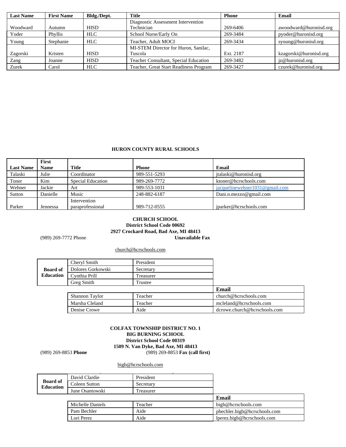| <b>Last Name</b> | <b>First Name</b> | Bldg./Dept. | Title                                  | <b>Phone</b> | Email                  |
|------------------|-------------------|-------------|----------------------------------------|--------------|------------------------|
|                  |                   |             | Diagnostic Assessment Intervention     |              |                        |
| Woodward         | Autumn            | <b>HISD</b> | Technician                             | 269-6406     | awoodward@huronisd.org |
| Yoder            | Phyllis           | <b>HLC</b>  | School Nurse/Early On                  | 269-3484     | pyoder@huronisd.org    |
| Young            | Stephanie         | <b>HLC</b>  | Teacher, Adult MOCI                    | 269-3434     | syoung@huronisd.org    |
|                  |                   |             | MI-STEM Director for Huron, Sanilac,   |              |                        |
| Zagorski         | Kristen           | <b>HISD</b> | Tuscola                                | Ext. 2187    | kzagorski@huronisd.org |
| Zang             | Joanne            | <b>HISD</b> | Teacher Consultant, Special Education  | 269-3482     | jz@huronisd.org        |
| Zurek            | Carol             | <b>HLC</b>  | Teacher, Great Start Readiness Program | 269-3427     | czurek@huronisd.org    |

#### **HURON COUNTY RURAL SCHOOLS**

| First       |                   |                  |                                |
|-------------|-------------------|------------------|--------------------------------|
| <b>Name</b> | <b>Title</b>      | Phone            | Email                          |
| Julie       | Coordinator       | 989-551-5293     | italaski@huronisd.org          |
| Kim         | Special Education | 989-269-7772     | ktoner@hcrschools.com          |
| Jackie      | Art               | 989-553-1031     | jacquelinewehner1031@gmail.com |
| Danielle    | Music             | 248-882-6187     | Dani.n.mezzo@gmail.com         |
|             | Intervention      |                  | iparker@hcrschools.com         |
|             | Jennessa          | paraprofessional | 989-712-0555                   |

# **CHURCH SCHOOL District School Code 00692 2927 Crockard Road, Bad Axe, MI 48413**

(989) 269-7772 Phone

church@hcrschools.com

|                  | Cheryl Smith      | President |                         |
|------------------|-------------------|-----------|-------------------------|
| <b>Board of</b>  | Dolores Gorkowski | Secretary |                         |
| <b>Education</b> | Cynthia Prill     | Freasurer |                         |
|                  | Greg Smith        | Trustee   |                         |
|                  |                   |           | Email                   |
|                  | Shannon Taylor    | Teacher   | church@hcrschools.com   |
|                  | Marsha Cleland    | Teacher   | mcleland@hcrschools.com |

| Shannon Taylor | Teacher | church@hcrschools.com        |
|----------------|---------|------------------------------|
| Marsha Cleland | Teacher | mcleland@hcrschools.com      |
| Denise Crowe   | Aide    | dcrowe.church@hcrschools.com |

#### **COLFAX TOWNSHIP DISTRICT NO. 1 BIG BURNING SCHOOL District School Code 00319 1509 N. Van Dyke, Bad Axe, MI 48413** (989) 269-8853 **Phone** (989) 269-8853 **Fax (call first)**

[bigb@hcrschools.com](mailto:bigb@hcrschools.com)

|                                     | David Clardie    | President |                              |
|-------------------------------------|------------------|-----------|------------------------------|
| <b>Board of</b><br><b>Education</b> | Coleen Sutton    | Secretary |                              |
|                                     | June Osantowski  | Treasurer |                              |
|                                     |                  |           | Email                        |
|                                     | Michelle Daniels | Teacher   | bigb@hcrschools.com          |
|                                     | Pam Bechler      | Aide      | pbechler.bigb@hcrschools.com |
|                                     | Lori Perez       | Aide      | lperez.bigb@hcrschools.com   |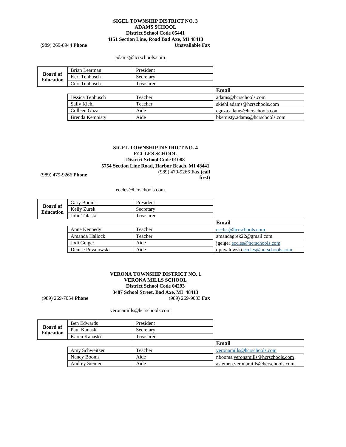## **SIGEL TOWNSHIP DISTRICT NO. 3 ADAMS SCHOOL District School Code 05441 4151 Section Line, Road Bad Axe, MI 48413**

(989) 269-8944 **Phone** 

#### [adams@hcrschools.com](mailto:adams@hcrschools.com)

|                              | Brian Learman    | President |                               |
|------------------------------|------------------|-----------|-------------------------------|
| <b>Board of</b><br>Education | Keri Tenbusch    | Secretary |                               |
|                              | Curt Tenbusch    | Treasurer |                               |
|                              |                  |           | Email                         |
|                              | Jessica Tenbusch | Teacher   | adams@hcrschools.com          |
|                              | Sally Kiehl      | Teacher   | skiehl.adams@hcrschools.com   |
|                              | Colleen Guza     | Aide      | cguza.adams@hcrschools.com    |
|                              | Brenda Kempisty  | Aide      | bkemisty.adams@hcrschools.com |

## **SIGEL TOWNSHIP DISTRICT NO. 4 ECCLES SCHOOL District School Code 01088 5754 Section Line Road, Harbor Beach, MI 48441 first)**

(989) 479-9266 **Phone** (989) 479-9266 **Fax (call** 

#### [eccles@hcrschools.com](mailto:eccles@hcrschools.com)

|                                     | Gary Booms        | President |                                   |
|-------------------------------------|-------------------|-----------|-----------------------------------|
| <b>Board of</b><br><b>Education</b> | Kelly Zurek       | Secretary |                                   |
|                                     | Julie Talaski     | Treasurer |                                   |
|                                     |                   |           | Email                             |
|                                     | Anne Kennedy      | Teacher   | eccles@hcrschools.com             |
|                                     | Amanda Hallock    | Teacher   | amandagrek22@gmail.com            |
|                                     | Jodi Geiger       | Aide      | jgeiger.eccles@hcrschools.com     |
|                                     | Denise Puvalowski | Aide      | dpuvalowski.eccles@hcrschools.com |

#### **VERONA TOWNSHIP DISTRICT NO. 1 VERONA MILLS SCHOOL District School Code 04293 3487 School Street, Bad Axe, MI 48413** (989) 269-7054 **Phone** (989) 269-9033 **Fax**

[veronamills@hcrschools.com](mailto:adams@hcrschools.com)

|                                     | Ben Edwards    | President |                            |
|-------------------------------------|----------------|-----------|----------------------------|
| <b>Board of</b><br><b>Education</b> | Paul Kanaski   | Secretary |                            |
|                                     | Karen Kanaski  | Treasurer |                            |
|                                     |                |           |                            |
|                                     |                |           | Email                      |
|                                     | Amy Schweitzer | Teacher   | veronamills@hcrschools.com |

Audrey Siemen Aide Aide asieme[n.veronamills@hcrschools.com](mailto:adams@hcrschools.com)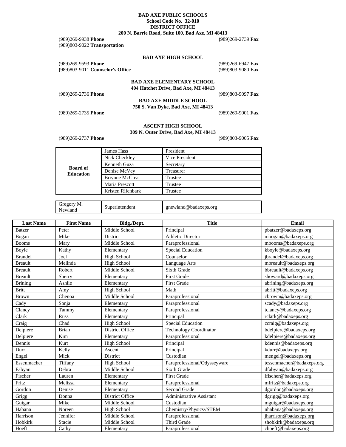#### **BAD AXE PUBLIC SCHOOLS School Code No. 32-010 DISTRICT OFFICE 200 N. Barrie Road, Suite 100, Bad Axe, MI 48413**

| $(989)269-9938$ Phone<br>(989) 803-9022 Transportation    |                                      | $(989)269-2739$ Fax                          |
|-----------------------------------------------------------|--------------------------------------|----------------------------------------------|
|                                                           | <b>BAD AXE HIGH SCHOOL</b>           |                                              |
| $(989)269-9593$ Phone<br>(989)803-9011 Counselor's Office |                                      | $(989)269-6947$ Fax<br>$(989)803 - 9080$ Fax |
|                                                           | <b>BAD AXE ELEMENTARY SCHOOL</b>     |                                              |
|                                                           | 404 Hatchet Drive, Bad Axe, MI 48413 |                                              |
| $(989)269 - 2736$ Phone                                   |                                      | $(989)803-9097$ Fax                          |
|                                                           | <b>BAD AXE MIDDLE SCHOOL</b>         |                                              |
|                                                           | 750 S. Van Dyke, Bad Axe, MI 48413   |                                              |
| (989)269-2735 <b>Phone</b>                                |                                      | (989)269-9001 <b>Fax</b>                     |

#### **ASCENT HIGH SCHOOL 309 N. Outer Drive, Bad Axe, MI 48413**

(989)269-2737 **Phone** (989)803-9005 **Fax**

|                                     | James Hass        | President      |
|-------------------------------------|-------------------|----------------|
|                                     | Nick Checkley     | Vice President |
|                                     | Kenneth Guza      | Secretary      |
| <b>Board of</b><br><b>Education</b> | Denise McVey      | Treasurer      |
|                                     | Briynne McCrea    | Trustee        |
|                                     | Maria Prescott    | Trustee        |
|                                     | Kristen Rifenbark | Trustee        |

| Gregory M.<br>Superintendent<br>Newland | gnewland@badaxeps.org |
|-----------------------------------------|-----------------------|
|-----------------------------------------|-----------------------|

| <b>Last Name</b> | <b>First Name</b> | Bldg./Dept.            | <b>Title</b>                  | Email                     |
|------------------|-------------------|------------------------|-------------------------------|---------------------------|
| <b>Batzer</b>    | Peter             | Middle School          | Principal                     | pbatzer@badaxeps.org      |
| Bogan            | Mike              | District               | <b>Athletic Director</b>      | mbogan@badaxeps.org       |
| <b>Booms</b>     | Mary              | Middle School          | Paraprofessional              | mbooms@badaxeps.org       |
| Boyle            | Kathy             | Elementary             | <b>Special Education</b>      | kboyle@badaxeps.org       |
| <b>Brandel</b>   | Joel              | High School            | Counselor                     | jbrandel@badaxeps.org     |
| <b>Breault</b>   | Melinda           | <b>High School</b>     | Language Arts                 | mbreault@badaxeps.org     |
| <b>Breault</b>   | Robert            | Middle School          | Sixth Grade                   | bbreault@badaxeps.org     |
| <b>Breault</b>   | Sherry            | Elementary             | <b>First Grade</b>            | showard@badaxeps.org      |
| <b>Brining</b>   | Ashlie            | Elementary             | <b>First Grade</b>            | abrining@badaxeps.org     |
| <b>Britt</b>     | Amy               | High School            | Math                          | abritt@badaxeps.org       |
| Brown            | Chenoa            | Middle School          | Paraprofessional              | cbrown@badaxeps.org       |
| Cady             | Sonja             | Elementary             | Paraprofessional              | scady@badaxeps.org        |
| Clancy           | Tammy             | Elementary             | Paraprofessional              | tclancy@badaxeps.org      |
| Clark            | Russ              | Elementary             | Principal                     | rclark@badaxeps.org       |
| Craig            | Chad              | <b>High School</b>     | <b>Special Education</b>      | ccraig@badaxeps.org       |
| Delpiere         | <b>Brian</b>      | <b>District Office</b> | <b>Technology Coordinator</b> | bdelpiere@badaxeps.org    |
| Delpiere         | Kim               | Elementary             | Paraprofessional              | kdelpiere@badaxeps.org    |
| Dennis           | Kurt              | High School            | Principal                     | kdennis@badaxeps.org      |
| Durr             | Kelly             | Ascent                 | Principal                     | kdurr@badaxeps.org        |
| Engel            | Mick              | District               | Custodian                     | mengel@badaxeps.org       |
| Essenmacher      | Tiffany           | High School            | Paraprofessional/Odysseyware  | tessenmacher@badaxeps.org |
| Fabyan           | Debra             | Middle School          | Sixth Grade                   | dfabyan@badaxeps.org      |
| Fischer          | Lauren            | Elementary             | <b>First Grade</b>            | lfischer@badaxeps.org     |
| Fritz            | Melissa           | Elementary             | Paraprofessional              | mfritz@badaxeps.org       |
| Gordon           | Denise            | Elementary             | Second Grade                  | dgordon@badaxeps.org      |
| Grigg            | Donna             | <b>District Office</b> | Administrative Assistant      | dgrigg@badaxeps.org       |
| Guigar           | Mike              | Middle School          | Custodian                     | mguigar@badaxeps.org      |
| Habana           | Noreen            | <b>High School</b>     | Chemistry/Physics//STEM       | nhabana@badaxeps.org      |
| Harrison         | Jennifer          | Middle School          | Paraprofessional              | jharrison@badaxeps.org    |
| Hobkirk          | Stacie            | Middle School          | Third Grade                   | shobkirk@badaxeps.org     |
| Hoeft            | Cathy             | Elementary             | Paraprofessional              | choeft@badaxeps.org       |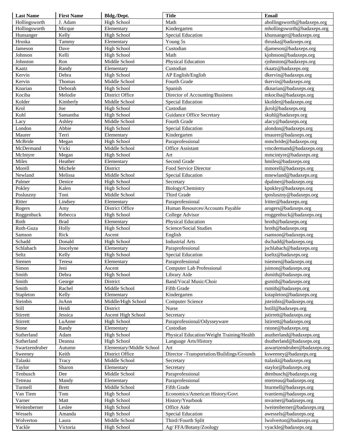| <b>Last Name</b> | <b>First Name</b> | Bldg./Dept.               | <b>Title</b>                                | Email                        |
|------------------|-------------------|---------------------------|---------------------------------------------|------------------------------|
| Hollingsworth    | J. Adam           | High School               | Math                                        | ahollingsworth@badaxeps.org  |
| Hollingsworth    | Micque            | Elementary                | Kindergarten                                | mhollingsworth@badaxeps.org  |
| Hunsanger        | Kelly             | High School               | <b>Special Education</b>                    | khunsanger@badaxeps.org      |
| Hruska           | Tammy             | Elementary                | Young 5s                                    | thruska@badaxeps.org         |
| Jameson          | Dave              | High School               | Custodian                                   | djameson@badaxeps.org        |
| Johnson          | Kelli             | High School               | Math                                        | kjohnson@badaxeps.org        |
| Johnston         | Ron               | Middle School             | Physical Education                          | rjohnston@badaxeps.org       |
| Kaatz            | Randy             | Elementary                | Custodian                                   | rkaatz@badaxeps.org          |
| Kervin           | Debra             | High School               | AP English/English                          | dkervin@badaxeps.org         |
| Kervin           | Thomas            | Middle School             | Fourth Grade                                | tkervin@badaxeps.org         |
| Knarian          | Deborah           | High School               | Spanish                                     | dknarian@badaxeps.org        |
| Kociba           | Melodie           | District Office           | Director of Accounting/Business             | mkociba@badaxeps.org         |
| Kolder           | Kimberly          | Middle School             | <b>Special Education</b>                    | kkolder@badaxeps.org         |
| Krol             | Joe               | High School               | Custodian                                   | jkrol@badaxeps.org           |
| Kuhl             | Samantha          | <b>High School</b>        | <b>Guidance Office Secretary</b>            | skuhl@badaxeps.org           |
| Lacy             | Ashley            | Middle School             | Fourth Grade                                | alacy@badaxeps.org           |
| London           | Abbie             | <b>High School</b>        | <b>Special Education</b>                    | alondon@badaxeps.org         |
| Maurer           | Terri             | Elementary                | Kindergarten                                | tmaurer@badaxeps.org         |
| McBride          | Megan             | <b>High School</b>        | Paraprofessional                            | mmcbride@badaxeps.org        |
| McDermand        | Vicki             | Middle School             | <b>Office Assistant</b>                     |                              |
|                  |                   |                           | Art                                         | vmcdermand@badaxeps.org      |
| McIntyre         | Megan             | <b>High School</b>        | Second Grade                                | mmcintyre@badaxeps.org       |
| Miles            | Heather           | Elementary                |                                             | hmiles@badaxeps.org          |
| Morell           | Michele           | District                  | Food Service Director                       | mmorell@badaxeps.org         |
| Newland          | Melissa           | Middle School             | <b>Special Education</b>                    | mnewland@badaxeps.org        |
| Palmer           | Denice            | High School               | Secretary                                   | dpalmer@badaxeps.org         |
| Pokley           | Kalen             | <b>High School</b>        | Biology/Chemistry                           | kpokley@badaxeps.org         |
| Posluszny        | Toni              | Middle School             | Third Grade                                 | tposluszny@badaxeps.org      |
| Ritter           | Lindsey           | Elementary                | Paraprofessional                            | lritter@badaxeps.org         |
| Rogers           | Amy               | District Office           | Human Resources/Accounts Payable            | arogers@badaxeps.org         |
| Roggenbuck       | Rebecca           | <b>High School</b>        | College Advisor                             | rroggenbuck@badaxeps.org     |
| Roth             | <b>Brad</b>       | Elementary                | Physical Education                          | broth@badaxeps.org           |
| Roth-Guza        | Holly             | <b>High School</b>        | Science/Social Studies                      | hroth@badaxeps.org           |
| Samson           | Rick              | Ascent                    | English                                     | rsamson@badaxeps.org         |
| Schadd           | Donald            | <b>High School</b>        | <b>Industrial Arts</b>                      | dschadd@badaxeps.org         |
| Schlabach        | Joscelyne         | Elementary                | Paraprofessional                            | jschlabach@badaxeps.org      |
| Seltz            | Kelly             | <b>High School</b>        | <b>Special Education</b>                    | kseltz@badaxeps.org          |
| Siemen           | Teresa            | Elementary                | Paraprofessional                            | tsiemen@badaxeps.org         |
| Simon            | Jeni              | Ascent                    | Computer Lab Professional                   | jsimon@badaxeps.org          |
| Smith            | Debra             | High School               | Library Aide                                | dsmith@badaxeps.org          |
| Smith            | George            | District                  | Band/Vocal Music/Choir                      | gsmith@badaxeps.org          |
| Smith            | Rachel            | Middle School             | Fifth Grade                                 | rsmith@badaxeps.org          |
| Stapleton        | Kelly             | Elementary                | Kindergarten                                | kstapleton@badaxeps.org      |
| Steinbis         | JoAnn             | Middle/High School        | <b>Computer Science</b>                     | jsteinbis@badaxeps.org       |
| Still            | Heidi             | District                  | Nurse                                       | hstill@badaxeps.org          |
| Stirrett         | Jessica           | <b>Ascent High School</b> | Secretary                                   | jstirrett@badaxeps.org       |
| Stirrett         | LuAnne            | High School               | Paraprofessional/Odysseyware                | lstirrett@badaxeps.org       |
| Stone            | Randy             | Elementary                | Custodian                                   | rstone@badaxeps.org          |
| Sutherland       | Adam              | <b>High School</b>        | Physical Education/Weight Training/Health   | asutherland@badaxeps.org     |
| Sutherland       | Deanna            | <b>High School</b>        | Language Arts/History                       | dsutherland@badaxeps.org     |
| Swartzendruber   | Autumn            | Elementary/Middle School  | Art                                         | aswartzendruber@badaxeps.org |
| Sweeney          | Keith             | District Office           | Director - Transportation/Buildings/Grounds | ksweeney@badaxeps.org        |
| Talaski          | Tracy             | Middle School             | Secretary                                   | ttalaski@badaxeps.org        |
| Taylor           | Sharon            | Elementary                | Secretary                                   | staylor@badaxeps.org         |
| Tenbusch         | Dee               | Middle School             | Paraprofessional                            | dtenbusch@badaxeps.org       |
| Tetreau          | Mandy             | Elementary                | Paraprofessional                            | mtetreau@badaxeps.org        |
| Turmell          | <b>Brett</b>      | Middle School             | Fifth Grade                                 | bturmell@badaxeps.org        |
| Van Tiem         | Tom               | High School               | Economics/American History/Govt             | tvantiem@badaxeps.org        |
| Varner           | Matt              | High School               | History/Yearbook                            | mvarner@badaxeps.org         |
| Weitenberner     | Leslee            | High School               | Office Aide                                 | lweitenberner@badaxeps.org   |
| Wessels          | Amanda            | <b>High School</b>        | Special Education                           | awessels@badaxeps.org        |
| Wolverton        | Laura             | Middle School             | Third//Fourth Split                         | lwolverton@badaxeps.org      |
| Yackle           | Victoria          | <b>High School</b>        | Ag/FFA/Botany/Zoology                       | vyackle@badaxeps.org         |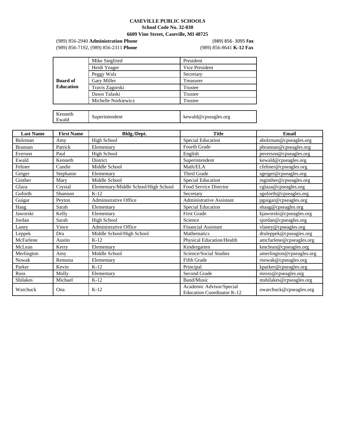#### **CASEVILLE PUBLIC SCHOOLS School Code No. 32-030**

#### **6609 Vine Street, Caseville, MI 48725**

(989) 856-2940 **Administration Phone** (989) 856- 3095 **Fax** (989) 856-7192, (989) 856-2311 **Phone** (989) 856-8641 **K-12 Fax**

|                  | Mike Siegfried      | President            |  |
|------------------|---------------------|----------------------|--|
|                  | Heidi Yeager        | Vice President       |  |
|                  | Peggy Walz          | Secretary            |  |
| <b>Board of</b>  | Gary Miller         | Treasurer            |  |
| <b>Education</b> | Travis Zagorski     | Trustee              |  |
|                  | Dawn Talaski        | Trustee              |  |
|                  | Michelle Norkiewicz | Trustee              |  |
|                  |                     |                      |  |
| Kenneth<br>Ewald | Superintendent      | kewald@cpseagles.org |  |

| <b>Last Name</b> | <b>First Name</b> | Bldg./Dept.                          | <b>Title</b>                                                  | <b>Email</b>              |
|------------------|-------------------|--------------------------------------|---------------------------------------------------------------|---------------------------|
| Bolzman          | Amy               | High School                          | Special Education                                             | abolzman@cpseagles.org    |
| Brannan          | Patrick           | Elementary                           | Fourth Grade                                                  | pbrannan@cpseagles.org    |
| Everson          | Paul              | <b>High School</b>                   | English                                                       | peverson@cpseagles.org    |
| Ewald            | Kenneth           | District                             | Superintendent                                                | kewald@cpseagles.org      |
| Feltner          | Candie            | Middle School                        | Math/ELA                                                      | cfeltner@cpseagles.org    |
| Geiger           | Stephanie         | Elementary                           | Third Grade                                                   | sgeiger@cpseagles.org     |
| Ginther          | Mary              | Middle School                        | Special Education                                             | mginther@cpseagles.org    |
| Glaza            | Crystal           | Elementary/Middle School/High School | Food Service Director                                         | cglaza@cpseagles.org      |
| Goforth          | Shannon           | $K-12$                               | Secretary                                                     | sgoforth@cpseagles.org    |
| Guigar           | Peyton            | Administrative Office                | <b>Administrative Assistant</b>                               | pguigar@cpseagles.org     |
| Haag             | Sarah             | Elementary                           | Special Education                                             | shaag@cpseagles.org       |
| Jaworski         | Kelly             | Elementary                           | First Grade                                                   | kjaworski@cpseagles.org   |
| Jordan           | Sarah             | <b>High School</b>                   | Science                                                       | sjordan@cpseagles.org     |
| Laney            | Vince             | <b>Administrative Office</b>         | Financial Assistant                                           | vlaney@cpseagles.org      |
| Leppek           | Dru               | Middle School/High School            | <b>Mathematics</b>                                            | druleppek@cpseagles.org   |
| McFarlene        | Austin            | $K-12$                               | Physical Education/Health                                     | amcfarlene@cpseagles.org  |
| McLean           | Kerry             | Elementary                           | Kindergarten                                                  | kmclean@cpseagles.org     |
| Merlington       | Amy               | Middle School                        | Science/Social Studies                                        | amerlington@cpseagles.org |
| <b>Nowak</b>     | Remona            | Elementary                           | Fifth Grade                                                   | rnowak@cpseagles.org      |
| Parker           | Kevin             | $K-12$                               | Principal                                                     | kparker@cpseagles.org     |
| Ross             | Molly             | Elementary                           | Second Grade                                                  | mross@cpseagles.org       |
| <b>Shilakes</b>  | Michael           | $K-12$                               | Band/Music                                                    | mshilakes@cpseagles.org   |
| Warchuck         | Ona               | $K-12$                               | Academic Advisor/Special<br><b>Education Coordinator K-12</b> | owarchuck@cpseagles.org   |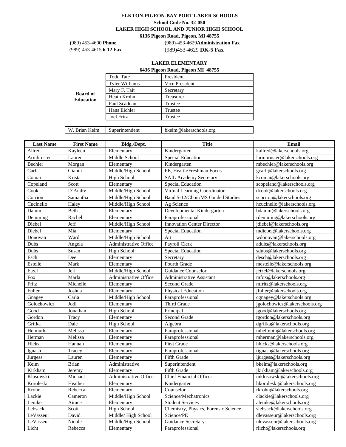# **ELKTON-PIGEON-BAY PORT LAKER SCHOOLS**

**School Code No. 32-050**

**LAKER HIGH SCHOOL AND JUNIOR HIGH SCHOOL 6136 Pigeon Road, Pigeon, MI 48755**

**(**989) 453-4600 **Phone** (989)-453-4629**Administration Fax** (989)-453-4615 **6-12 Fax** (989)453-4629 **DK-5 Fax**

# **LAKER ELEMENTARY**

| 6436 Pigeon Road, Pigeon MI 48755 |  |  |  |
|-----------------------------------|--|--|--|
|-----------------------------------|--|--|--|

|                                     | <b>Todd Tate</b>      | President      |
|-------------------------------------|-----------------------|----------------|
|                                     | <b>Tyler Williams</b> | Vice President |
|                                     | Mary F. Tait          | Secretary      |
| <b>Board of</b><br><b>Education</b> | Heath Krohn           | Treasurer      |
|                                     | Paul Scaddan          | Trustee        |
|                                     | Hans Eichler          | Trustee        |
|                                     | <b>Joel Fritz</b>     | Trustee        |
|                                     |                       |                |

W. Brian Keim Superintendent [bkeim@lakerschools.org](mailto:bkeim@lakerschools.org)

| <b>Last Name</b> | <b>First Name</b> | Bldg./Dept.           | <b>Title</b>                         | <b>Email</b>                  |
|------------------|-------------------|-----------------------|--------------------------------------|-------------------------------|
| Allred           | Kayleen           | Elementary            | Kindergarten                         | kallred@lakerschools.org      |
| Armbruster       | Lauren            | Middle School         | Special Education                    | larmbruster@lakerschools.org  |
| Bechler          | Morgan            | Elementary            | Kindergarten                         | mbechler@lakerschools.org     |
| Carli            | Gianni            | Middle/High School    | PE. Health/Freshman Focus            | gcarli@lakerschools.org       |
| Comai            | Krista            | High School           | <b>SAIL Academy Secretary</b>        | kcomai@lakerschools.org       |
| Copeland         | Scott             | Elementary            | Special Education                    | scopeland@lakerschools.org    |
| Cook             | D'Andre           | Middle/High School    | Virtual Learning Coordinator         | dcook@lakerschools.org        |
| Corrion          | Samantha          | Middle/High School    | Band 5-12/Choir/MS Guided Studies    | scorrion@lakerschools.org     |
| Cucinello        | Haley             | Middle/High School    | Ag Science                           | hcucinello@lakerschools.org   |
| Damm             | Beth              | Elementary            | Developmental Kindergarten           | bdamm@lakerschools.org        |
| Demming          | Rachel            | Elementary            | Paraprofessional                     | rdemming@lakerschools.org     |
| Diebel           | Jeff              | Middle/High School    | <b>Innovation Center Director</b>    | idiebel@lakerschools.org      |
| Diebel           | Mia               | Elementary            | Special Education                    | mdiebel@lakerschools.org      |
| Donovan          | Ward              | Middle/High School    | Art                                  | wdonovan@lakerschools.org     |
| Dubs             | Angela            | Administrative Office | Payroll Clerk                        | adubs@lakerschools.org        |
| Dubs             | Susan             | High School           | Special Education                    | sdubs@lakerschools.org        |
| Esch             | Dee               | Elementary            | Secretary                            | desch@lakerschools.org        |
| Estelle          | Mark              | Elementary            | Fourth Grade                         | mestelle@lakerschools.org     |
| Etzel            | Jeff              | Middle/High School    | Guidance Counselor                   | jetzel@lakerschools.org       |
| Fox              | Marla             | Administrative Office | Administrative Assistant             | mfox@lakerschools.org         |
| Fritz            | Michelle          | Elementary            | Second Grade                         | mfritz@lakerschools.org       |
| Fuller           | Joshua            | Elementary            | Physical Education                   | ifuller@lakerschools.org      |
| Gnagey           | Carla             | Middle/High School    | Paraprofessional                     | cgnagey@lakerschools.org      |
| Golochowicz      | Jodi              | Elementary            | Third Grade                          | jgolochowicz@lakerschools.org |
| Good             | Jonathan          | <b>High School</b>    | Principal                            | igood@lakerschools.org        |
| Gordon           | Tracy             | Elementary            | Second Grade                         | tgordon@lakerschools.org      |
| Grifka           | Dale              | High School           | Algebra                              | dgrifka@lakerschools.org      |
| Helmuth          | Melissa           | Elementary            | Paraprofessional                     | mhelmuth@lakerschools.org     |
| Herman           | Melissa           | Elementary            | Paraprofessional                     | mherman@lakerschools.org      |
| Hicks            | Hannah            | Elementary            | <b>First Grade</b>                   | hhicks@lakerschools.org       |
| Ignash           | Tracey            | Elementary            | Paraprofessional                     | tignash@lakerschools.org      |
| <b>Jurgess</b>   | Lauren            | Elementary            | <b>Fifth Grade</b>                   | ljurgess@lakerschools.org     |
| Keim             | <b>Brian</b>      | Administrative        | Superintendent                       | bkeim@lakerschools.org        |
| Kirkham          | Jeremy            | Elementary            | Fifth Grade                          | jkirkham@lakerschools.org     |
| Klosowski        | Michael           | Administrative Office | Chief Financial Officer              | mklosowski@lakerschools.org   |
| Koroleski        | Heather           | Elementary            | Kindergarten                         | hkoroleski@lakerschools.org   |
| Krohn            | Rebecca           | Elementary            | Counselor                            | rkrohn@lakerschools.org       |
| Lackie           | Cameron           | Middle/High School    | Science/Mechatronics                 | clackie@lakerschools.org      |
| Lemke            | Aimee             | Elementary            | <b>Student Services</b>              | alemke@lakerschools.org       |
| Lebsack          | Scott             | High School           | Chemistry, Physics, Forensic Science | slebsack@lakerschools.org     |
| LeVasseur        | David             | Middle/High School    | Science/PE                           | dlevasseur@lakerschools.org   |
| LeVasseur        | Nicole            | Middle/High School    | <b>Guidance Secretary</b>            | nlevasseur@lakerschools.org   |
| Licht            | Rebecca           | Elementary            | Paraprofessional                     | rlicht@lakerschools.org       |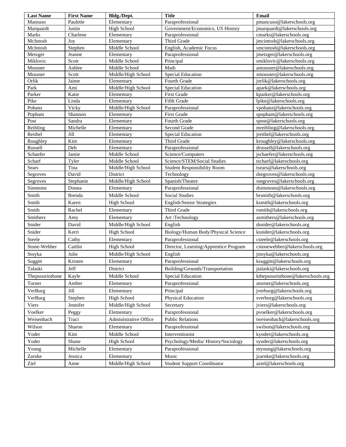| Paraprofessional<br>pmancuso@lakerschools.org<br>Mansuso<br>Paulette<br>Elementary<br>High School<br>Government/Economics, US History<br>jmarquardt@lakerschools.org<br>Marquardt<br>Justin<br>Marks<br>Charlene<br>Paraprofessional<br>cmarks@lakerschools.org<br>Elementary<br>McIntosh<br>Third Grade<br>Joy<br>jmcintosh@lakerschools.org<br>Elementary<br>McIntosh<br>Stephen<br>Middle School<br>English, Academic Focus<br>smcintosh@lakerschools.org<br>Metzger<br>Paraprofessional<br>jmetzger@lakerschools.org<br>Jeanne<br>Elementary<br>Miklovic<br>Scott<br>Middle School<br>smiklovic@lakerschools.org<br>Principal<br>Mossner<br>Ashlee<br>Middle School<br>amossner@lakerschools.org<br>Math<br>Mossner<br>Scott<br>Middle/High School<br>Special Education<br>smossner@lakerschools.org<br>Orlik<br>Jaime<br>jorlik@lakerschools.org<br>Elementary<br>Fourth Grade<br>Park<br>Middle/High School<br>Ami<br>apark@lakerschools.org<br>Special Education<br>Parker<br>Katie<br>Elementary<br>First Grade<br>kparker@lakerschools.org<br>Pike<br>Linda<br>Elementary<br>Fifth Grade<br>lpike@lakerschools.org<br>Pobanz<br>Vicky<br>Middle/High School<br>vpobanz@lakerschools.org<br>Paraprofessional<br>spopham@lakerschools.org<br>Popham<br>Shannon<br>Elementary<br>First Grade<br>Sandra<br>spost@lakerschools.org<br>Post<br>Elementary<br>Fourth Grade<br>Reibling<br>Michelle<br>mreibling@lakerschools.org<br>Second Grade<br>Elementary<br>Reithel<br>Jill<br>jreithel@lakerschools.org<br><b>Special Education</b><br>Elementary<br>Kim<br>Roughley<br>Third Grade<br>kroughley@lakerschools.org<br>Elementary<br>Russell<br>Deb<br>drussell@lakerschools.org<br>Elementary<br>Paraprofessional<br>jschaefer@lakerschools.org<br>Schaefer<br>Jamie<br>Middle School<br>Science/Computers<br>Science/STEM/Social Studies<br>Scharf<br>Middle School<br>tscharf@lakerschools.org<br>Tyler<br><b>Sears</b><br>Tina<br>Middle/High School<br><b>Student Responsibility Room</b><br>tsears@lakerschools.org<br>David<br>Technology<br>dsegroves@lakerschools.org<br>Segroves<br>District<br>Middle/High School<br>ssegroves@lakerschools.org<br>Stephanie<br>Spanish/Theatre<br>Segroves<br>Paraprofessional<br>dsimmons@lakerschools.org<br>Simmons<br>Donna<br>Elementary<br>Smith<br>Middle School<br>Brenda<br><b>Social Studies</b><br>brsmith@lakerschools.org<br>Smith<br>Karen<br>ksmith@lakerschools.org<br><b>High School</b><br><b>English/Senior Strategies</b><br>Smith<br>Third Grade<br>Rachel<br>rsmith@lakerschools.org<br>Elementary<br>Smithers<br>asmithers@lakerschools.org<br>Amy<br>Elementary<br>Art /Technology<br>Snider<br>David<br>Middle/High School<br>English<br>dsnider@lakerschools.org<br>Snider<br>Biology/Human Body/Physical Science<br>Kerri<br><b>High School</b><br>ksnider@lakerschools.org<br>Cathy<br>Paraprofessional<br>Steele<br>csteele@lakerschools.org<br>Elementary<br>Stone-Webber<br>Caitlin<br>Director, Learning/Apprentice Program<br><b>High School</b><br>cstonewebber@lakerschools.org<br>Julie<br>Middle/High School<br>jstoyka@lakerschools.org<br>Stoyka<br>English<br>Suggitt<br>Paraprofessional<br>ksuggitt@lakerschools.org<br>Kristen<br>Elementary<br>Jeff<br>jtalaski@lakerschools.org<br>Talaski<br>District<br>Building/Grounds/Transportation<br>Kayle<br>Middle School<br><b>Special Education</b><br>kthepsourinthone@lakerschools.org<br>Thepsourinthone<br>Amber<br>Paraprofessional<br>Turner<br>aturner@lakerschools.org<br>Elementary<br>Jill<br>VerBurg<br>Elementary<br>Principal<br>jverburg@lakerschools.org<br>Stephen<br><b>High School</b><br>Physical Education<br>sverburg@lakerschools.org<br>VerBurg<br>Jennifer<br>Middle/High School<br>jviers@lakerschools.org<br>Viers<br>Secretary<br>Voelker<br>Peggy<br>Paraprofessional<br>pvoelker@lakerschools.org<br>Elementary<br>Weisenbach<br>Administrative Office<br><b>Public Relations</b><br>tweisenbach@lakerschools.org<br>Traci<br>swilson@lakerschools.org<br>Wilson<br>Sharon<br>Paraprofessional<br>Elementary<br>Yoder<br>Kim<br>Middle School<br>Interventionist<br>kyoder@lakerschools.org<br>Yoder<br>Shane<br><b>High School</b><br>Psychology/Media/History/Sociology<br>syoder@lakerschools.org<br>Michelle<br>Young<br>Elementary<br>Paraprofessional<br>myoung@lakerschools.org<br>Zarnke<br>Jessica<br>jzarnke@lakerschools.org<br>Elementary<br>Music<br>Ziel<br>Middle/High School<br><b>Student Support Coordinator</b><br>aziel@lakerschools.org<br>Anne | <b>Last Name</b> | <b>First Name</b> | Bldg./Dept. | <b>Title</b> | <b>Email</b> |
|-----------------------------------------------------------------------------------------------------------------------------------------------------------------------------------------------------------------------------------------------------------------------------------------------------------------------------------------------------------------------------------------------------------------------------------------------------------------------------------------------------------------------------------------------------------------------------------------------------------------------------------------------------------------------------------------------------------------------------------------------------------------------------------------------------------------------------------------------------------------------------------------------------------------------------------------------------------------------------------------------------------------------------------------------------------------------------------------------------------------------------------------------------------------------------------------------------------------------------------------------------------------------------------------------------------------------------------------------------------------------------------------------------------------------------------------------------------------------------------------------------------------------------------------------------------------------------------------------------------------------------------------------------------------------------------------------------------------------------------------------------------------------------------------------------------------------------------------------------------------------------------------------------------------------------------------------------------------------------------------------------------------------------------------------------------------------------------------------------------------------------------------------------------------------------------------------------------------------------------------------------------------------------------------------------------------------------------------------------------------------------------------------------------------------------------------------------------------------------------------------------------------------------------------------------------------------------------------------------------------------------------------------------------------------------------------------------------------------------------------------------------------------------------------------------------------------------------------------------------------------------------------------------------------------------------------------------------------------------------------------------------------------------------------------------------------------------------------------------------------------------------------------------------------------------------------------------------------------------------------------------------------------------------------------------------------------------------------------------------------------------------------------------------------------------------------------------------------------------------------------------------------------------------------------------------------------------------------------------------------------------------------------------------------------------------------------------------------------------------------------------------------------------------------------------------------------------------------------------------------------------------------------------------------------------------------------------------------------------------------------------------------------------------------------------------------------------------------------------------------------------------------------------------------------------------------------------------------------------------------------------------------------------------------------------------------------------------------------------------------------------------------------------------------------------------------------------------------------------------------------------------------------------------------------|------------------|-------------------|-------------|--------------|--------------|
|                                                                                                                                                                                                                                                                                                                                                                                                                                                                                                                                                                                                                                                                                                                                                                                                                                                                                                                                                                                                                                                                                                                                                                                                                                                                                                                                                                                                                                                                                                                                                                                                                                                                                                                                                                                                                                                                                                                                                                                                                                                                                                                                                                                                                                                                                                                                                                                                                                                                                                                                                                                                                                                                                                                                                                                                                                                                                                                                                                                                                                                                                                                                                                                                                                                                                                                                                                                                                                                                                                                                                                                                                                                                                                                                                                                                                                                                                                                                                                                                                                                                                                                                                                                                                                                                                                                                                                                                                                                                                                                                               |                  |                   |             |              |              |
|                                                                                                                                                                                                                                                                                                                                                                                                                                                                                                                                                                                                                                                                                                                                                                                                                                                                                                                                                                                                                                                                                                                                                                                                                                                                                                                                                                                                                                                                                                                                                                                                                                                                                                                                                                                                                                                                                                                                                                                                                                                                                                                                                                                                                                                                                                                                                                                                                                                                                                                                                                                                                                                                                                                                                                                                                                                                                                                                                                                                                                                                                                                                                                                                                                                                                                                                                                                                                                                                                                                                                                                                                                                                                                                                                                                                                                                                                                                                                                                                                                                                                                                                                                                                                                                                                                                                                                                                                                                                                                                                               |                  |                   |             |              |              |
|                                                                                                                                                                                                                                                                                                                                                                                                                                                                                                                                                                                                                                                                                                                                                                                                                                                                                                                                                                                                                                                                                                                                                                                                                                                                                                                                                                                                                                                                                                                                                                                                                                                                                                                                                                                                                                                                                                                                                                                                                                                                                                                                                                                                                                                                                                                                                                                                                                                                                                                                                                                                                                                                                                                                                                                                                                                                                                                                                                                                                                                                                                                                                                                                                                                                                                                                                                                                                                                                                                                                                                                                                                                                                                                                                                                                                                                                                                                                                                                                                                                                                                                                                                                                                                                                                                                                                                                                                                                                                                                                               |                  |                   |             |              |              |
|                                                                                                                                                                                                                                                                                                                                                                                                                                                                                                                                                                                                                                                                                                                                                                                                                                                                                                                                                                                                                                                                                                                                                                                                                                                                                                                                                                                                                                                                                                                                                                                                                                                                                                                                                                                                                                                                                                                                                                                                                                                                                                                                                                                                                                                                                                                                                                                                                                                                                                                                                                                                                                                                                                                                                                                                                                                                                                                                                                                                                                                                                                                                                                                                                                                                                                                                                                                                                                                                                                                                                                                                                                                                                                                                                                                                                                                                                                                                                                                                                                                                                                                                                                                                                                                                                                                                                                                                                                                                                                                                               |                  |                   |             |              |              |
|                                                                                                                                                                                                                                                                                                                                                                                                                                                                                                                                                                                                                                                                                                                                                                                                                                                                                                                                                                                                                                                                                                                                                                                                                                                                                                                                                                                                                                                                                                                                                                                                                                                                                                                                                                                                                                                                                                                                                                                                                                                                                                                                                                                                                                                                                                                                                                                                                                                                                                                                                                                                                                                                                                                                                                                                                                                                                                                                                                                                                                                                                                                                                                                                                                                                                                                                                                                                                                                                                                                                                                                                                                                                                                                                                                                                                                                                                                                                                                                                                                                                                                                                                                                                                                                                                                                                                                                                                                                                                                                                               |                  |                   |             |              |              |
|                                                                                                                                                                                                                                                                                                                                                                                                                                                                                                                                                                                                                                                                                                                                                                                                                                                                                                                                                                                                                                                                                                                                                                                                                                                                                                                                                                                                                                                                                                                                                                                                                                                                                                                                                                                                                                                                                                                                                                                                                                                                                                                                                                                                                                                                                                                                                                                                                                                                                                                                                                                                                                                                                                                                                                                                                                                                                                                                                                                                                                                                                                                                                                                                                                                                                                                                                                                                                                                                                                                                                                                                                                                                                                                                                                                                                                                                                                                                                                                                                                                                                                                                                                                                                                                                                                                                                                                                                                                                                                                                               |                  |                   |             |              |              |
|                                                                                                                                                                                                                                                                                                                                                                                                                                                                                                                                                                                                                                                                                                                                                                                                                                                                                                                                                                                                                                                                                                                                                                                                                                                                                                                                                                                                                                                                                                                                                                                                                                                                                                                                                                                                                                                                                                                                                                                                                                                                                                                                                                                                                                                                                                                                                                                                                                                                                                                                                                                                                                                                                                                                                                                                                                                                                                                                                                                                                                                                                                                                                                                                                                                                                                                                                                                                                                                                                                                                                                                                                                                                                                                                                                                                                                                                                                                                                                                                                                                                                                                                                                                                                                                                                                                                                                                                                                                                                                                                               |                  |                   |             |              |              |
|                                                                                                                                                                                                                                                                                                                                                                                                                                                                                                                                                                                                                                                                                                                                                                                                                                                                                                                                                                                                                                                                                                                                                                                                                                                                                                                                                                                                                                                                                                                                                                                                                                                                                                                                                                                                                                                                                                                                                                                                                                                                                                                                                                                                                                                                                                                                                                                                                                                                                                                                                                                                                                                                                                                                                                                                                                                                                                                                                                                                                                                                                                                                                                                                                                                                                                                                                                                                                                                                                                                                                                                                                                                                                                                                                                                                                                                                                                                                                                                                                                                                                                                                                                                                                                                                                                                                                                                                                                                                                                                                               |                  |                   |             |              |              |
|                                                                                                                                                                                                                                                                                                                                                                                                                                                                                                                                                                                                                                                                                                                                                                                                                                                                                                                                                                                                                                                                                                                                                                                                                                                                                                                                                                                                                                                                                                                                                                                                                                                                                                                                                                                                                                                                                                                                                                                                                                                                                                                                                                                                                                                                                                                                                                                                                                                                                                                                                                                                                                                                                                                                                                                                                                                                                                                                                                                                                                                                                                                                                                                                                                                                                                                                                                                                                                                                                                                                                                                                                                                                                                                                                                                                                                                                                                                                                                                                                                                                                                                                                                                                                                                                                                                                                                                                                                                                                                                                               |                  |                   |             |              |              |
|                                                                                                                                                                                                                                                                                                                                                                                                                                                                                                                                                                                                                                                                                                                                                                                                                                                                                                                                                                                                                                                                                                                                                                                                                                                                                                                                                                                                                                                                                                                                                                                                                                                                                                                                                                                                                                                                                                                                                                                                                                                                                                                                                                                                                                                                                                                                                                                                                                                                                                                                                                                                                                                                                                                                                                                                                                                                                                                                                                                                                                                                                                                                                                                                                                                                                                                                                                                                                                                                                                                                                                                                                                                                                                                                                                                                                                                                                                                                                                                                                                                                                                                                                                                                                                                                                                                                                                                                                                                                                                                                               |                  |                   |             |              |              |
|                                                                                                                                                                                                                                                                                                                                                                                                                                                                                                                                                                                                                                                                                                                                                                                                                                                                                                                                                                                                                                                                                                                                                                                                                                                                                                                                                                                                                                                                                                                                                                                                                                                                                                                                                                                                                                                                                                                                                                                                                                                                                                                                                                                                                                                                                                                                                                                                                                                                                                                                                                                                                                                                                                                                                                                                                                                                                                                                                                                                                                                                                                                                                                                                                                                                                                                                                                                                                                                                                                                                                                                                                                                                                                                                                                                                                                                                                                                                                                                                                                                                                                                                                                                                                                                                                                                                                                                                                                                                                                                                               |                  |                   |             |              |              |
|                                                                                                                                                                                                                                                                                                                                                                                                                                                                                                                                                                                                                                                                                                                                                                                                                                                                                                                                                                                                                                                                                                                                                                                                                                                                                                                                                                                                                                                                                                                                                                                                                                                                                                                                                                                                                                                                                                                                                                                                                                                                                                                                                                                                                                                                                                                                                                                                                                                                                                                                                                                                                                                                                                                                                                                                                                                                                                                                                                                                                                                                                                                                                                                                                                                                                                                                                                                                                                                                                                                                                                                                                                                                                                                                                                                                                                                                                                                                                                                                                                                                                                                                                                                                                                                                                                                                                                                                                                                                                                                                               |                  |                   |             |              |              |
|                                                                                                                                                                                                                                                                                                                                                                                                                                                                                                                                                                                                                                                                                                                                                                                                                                                                                                                                                                                                                                                                                                                                                                                                                                                                                                                                                                                                                                                                                                                                                                                                                                                                                                                                                                                                                                                                                                                                                                                                                                                                                                                                                                                                                                                                                                                                                                                                                                                                                                                                                                                                                                                                                                                                                                                                                                                                                                                                                                                                                                                                                                                                                                                                                                                                                                                                                                                                                                                                                                                                                                                                                                                                                                                                                                                                                                                                                                                                                                                                                                                                                                                                                                                                                                                                                                                                                                                                                                                                                                                                               |                  |                   |             |              |              |
|                                                                                                                                                                                                                                                                                                                                                                                                                                                                                                                                                                                                                                                                                                                                                                                                                                                                                                                                                                                                                                                                                                                                                                                                                                                                                                                                                                                                                                                                                                                                                                                                                                                                                                                                                                                                                                                                                                                                                                                                                                                                                                                                                                                                                                                                                                                                                                                                                                                                                                                                                                                                                                                                                                                                                                                                                                                                                                                                                                                                                                                                                                                                                                                                                                                                                                                                                                                                                                                                                                                                                                                                                                                                                                                                                                                                                                                                                                                                                                                                                                                                                                                                                                                                                                                                                                                                                                                                                                                                                                                                               |                  |                   |             |              |              |
|                                                                                                                                                                                                                                                                                                                                                                                                                                                                                                                                                                                                                                                                                                                                                                                                                                                                                                                                                                                                                                                                                                                                                                                                                                                                                                                                                                                                                                                                                                                                                                                                                                                                                                                                                                                                                                                                                                                                                                                                                                                                                                                                                                                                                                                                                                                                                                                                                                                                                                                                                                                                                                                                                                                                                                                                                                                                                                                                                                                                                                                                                                                                                                                                                                                                                                                                                                                                                                                                                                                                                                                                                                                                                                                                                                                                                                                                                                                                                                                                                                                                                                                                                                                                                                                                                                                                                                                                                                                                                                                                               |                  |                   |             |              |              |
|                                                                                                                                                                                                                                                                                                                                                                                                                                                                                                                                                                                                                                                                                                                                                                                                                                                                                                                                                                                                                                                                                                                                                                                                                                                                                                                                                                                                                                                                                                                                                                                                                                                                                                                                                                                                                                                                                                                                                                                                                                                                                                                                                                                                                                                                                                                                                                                                                                                                                                                                                                                                                                                                                                                                                                                                                                                                                                                                                                                                                                                                                                                                                                                                                                                                                                                                                                                                                                                                                                                                                                                                                                                                                                                                                                                                                                                                                                                                                                                                                                                                                                                                                                                                                                                                                                                                                                                                                                                                                                                                               |                  |                   |             |              |              |
|                                                                                                                                                                                                                                                                                                                                                                                                                                                                                                                                                                                                                                                                                                                                                                                                                                                                                                                                                                                                                                                                                                                                                                                                                                                                                                                                                                                                                                                                                                                                                                                                                                                                                                                                                                                                                                                                                                                                                                                                                                                                                                                                                                                                                                                                                                                                                                                                                                                                                                                                                                                                                                                                                                                                                                                                                                                                                                                                                                                                                                                                                                                                                                                                                                                                                                                                                                                                                                                                                                                                                                                                                                                                                                                                                                                                                                                                                                                                                                                                                                                                                                                                                                                                                                                                                                                                                                                                                                                                                                                                               |                  |                   |             |              |              |
|                                                                                                                                                                                                                                                                                                                                                                                                                                                                                                                                                                                                                                                                                                                                                                                                                                                                                                                                                                                                                                                                                                                                                                                                                                                                                                                                                                                                                                                                                                                                                                                                                                                                                                                                                                                                                                                                                                                                                                                                                                                                                                                                                                                                                                                                                                                                                                                                                                                                                                                                                                                                                                                                                                                                                                                                                                                                                                                                                                                                                                                                                                                                                                                                                                                                                                                                                                                                                                                                                                                                                                                                                                                                                                                                                                                                                                                                                                                                                                                                                                                                                                                                                                                                                                                                                                                                                                                                                                                                                                                                               |                  |                   |             |              |              |
|                                                                                                                                                                                                                                                                                                                                                                                                                                                                                                                                                                                                                                                                                                                                                                                                                                                                                                                                                                                                                                                                                                                                                                                                                                                                                                                                                                                                                                                                                                                                                                                                                                                                                                                                                                                                                                                                                                                                                                                                                                                                                                                                                                                                                                                                                                                                                                                                                                                                                                                                                                                                                                                                                                                                                                                                                                                                                                                                                                                                                                                                                                                                                                                                                                                                                                                                                                                                                                                                                                                                                                                                                                                                                                                                                                                                                                                                                                                                                                                                                                                                                                                                                                                                                                                                                                                                                                                                                                                                                                                                               |                  |                   |             |              |              |
|                                                                                                                                                                                                                                                                                                                                                                                                                                                                                                                                                                                                                                                                                                                                                                                                                                                                                                                                                                                                                                                                                                                                                                                                                                                                                                                                                                                                                                                                                                                                                                                                                                                                                                                                                                                                                                                                                                                                                                                                                                                                                                                                                                                                                                                                                                                                                                                                                                                                                                                                                                                                                                                                                                                                                                                                                                                                                                                                                                                                                                                                                                                                                                                                                                                                                                                                                                                                                                                                                                                                                                                                                                                                                                                                                                                                                                                                                                                                                                                                                                                                                                                                                                                                                                                                                                                                                                                                                                                                                                                                               |                  |                   |             |              |              |
|                                                                                                                                                                                                                                                                                                                                                                                                                                                                                                                                                                                                                                                                                                                                                                                                                                                                                                                                                                                                                                                                                                                                                                                                                                                                                                                                                                                                                                                                                                                                                                                                                                                                                                                                                                                                                                                                                                                                                                                                                                                                                                                                                                                                                                                                                                                                                                                                                                                                                                                                                                                                                                                                                                                                                                                                                                                                                                                                                                                                                                                                                                                                                                                                                                                                                                                                                                                                                                                                                                                                                                                                                                                                                                                                                                                                                                                                                                                                                                                                                                                                                                                                                                                                                                                                                                                                                                                                                                                                                                                                               |                  |                   |             |              |              |
|                                                                                                                                                                                                                                                                                                                                                                                                                                                                                                                                                                                                                                                                                                                                                                                                                                                                                                                                                                                                                                                                                                                                                                                                                                                                                                                                                                                                                                                                                                                                                                                                                                                                                                                                                                                                                                                                                                                                                                                                                                                                                                                                                                                                                                                                                                                                                                                                                                                                                                                                                                                                                                                                                                                                                                                                                                                                                                                                                                                                                                                                                                                                                                                                                                                                                                                                                                                                                                                                                                                                                                                                                                                                                                                                                                                                                                                                                                                                                                                                                                                                                                                                                                                                                                                                                                                                                                                                                                                                                                                                               |                  |                   |             |              |              |
|                                                                                                                                                                                                                                                                                                                                                                                                                                                                                                                                                                                                                                                                                                                                                                                                                                                                                                                                                                                                                                                                                                                                                                                                                                                                                                                                                                                                                                                                                                                                                                                                                                                                                                                                                                                                                                                                                                                                                                                                                                                                                                                                                                                                                                                                                                                                                                                                                                                                                                                                                                                                                                                                                                                                                                                                                                                                                                                                                                                                                                                                                                                                                                                                                                                                                                                                                                                                                                                                                                                                                                                                                                                                                                                                                                                                                                                                                                                                                                                                                                                                                                                                                                                                                                                                                                                                                                                                                                                                                                                                               |                  |                   |             |              |              |
|                                                                                                                                                                                                                                                                                                                                                                                                                                                                                                                                                                                                                                                                                                                                                                                                                                                                                                                                                                                                                                                                                                                                                                                                                                                                                                                                                                                                                                                                                                                                                                                                                                                                                                                                                                                                                                                                                                                                                                                                                                                                                                                                                                                                                                                                                                                                                                                                                                                                                                                                                                                                                                                                                                                                                                                                                                                                                                                                                                                                                                                                                                                                                                                                                                                                                                                                                                                                                                                                                                                                                                                                                                                                                                                                                                                                                                                                                                                                                                                                                                                                                                                                                                                                                                                                                                                                                                                                                                                                                                                                               |                  |                   |             |              |              |
|                                                                                                                                                                                                                                                                                                                                                                                                                                                                                                                                                                                                                                                                                                                                                                                                                                                                                                                                                                                                                                                                                                                                                                                                                                                                                                                                                                                                                                                                                                                                                                                                                                                                                                                                                                                                                                                                                                                                                                                                                                                                                                                                                                                                                                                                                                                                                                                                                                                                                                                                                                                                                                                                                                                                                                                                                                                                                                                                                                                                                                                                                                                                                                                                                                                                                                                                                                                                                                                                                                                                                                                                                                                                                                                                                                                                                                                                                                                                                                                                                                                                                                                                                                                                                                                                                                                                                                                                                                                                                                                                               |                  |                   |             |              |              |
|                                                                                                                                                                                                                                                                                                                                                                                                                                                                                                                                                                                                                                                                                                                                                                                                                                                                                                                                                                                                                                                                                                                                                                                                                                                                                                                                                                                                                                                                                                                                                                                                                                                                                                                                                                                                                                                                                                                                                                                                                                                                                                                                                                                                                                                                                                                                                                                                                                                                                                                                                                                                                                                                                                                                                                                                                                                                                                                                                                                                                                                                                                                                                                                                                                                                                                                                                                                                                                                                                                                                                                                                                                                                                                                                                                                                                                                                                                                                                                                                                                                                                                                                                                                                                                                                                                                                                                                                                                                                                                                                               |                  |                   |             |              |              |
|                                                                                                                                                                                                                                                                                                                                                                                                                                                                                                                                                                                                                                                                                                                                                                                                                                                                                                                                                                                                                                                                                                                                                                                                                                                                                                                                                                                                                                                                                                                                                                                                                                                                                                                                                                                                                                                                                                                                                                                                                                                                                                                                                                                                                                                                                                                                                                                                                                                                                                                                                                                                                                                                                                                                                                                                                                                                                                                                                                                                                                                                                                                                                                                                                                                                                                                                                                                                                                                                                                                                                                                                                                                                                                                                                                                                                                                                                                                                                                                                                                                                                                                                                                                                                                                                                                                                                                                                                                                                                                                                               |                  |                   |             |              |              |
|                                                                                                                                                                                                                                                                                                                                                                                                                                                                                                                                                                                                                                                                                                                                                                                                                                                                                                                                                                                                                                                                                                                                                                                                                                                                                                                                                                                                                                                                                                                                                                                                                                                                                                                                                                                                                                                                                                                                                                                                                                                                                                                                                                                                                                                                                                                                                                                                                                                                                                                                                                                                                                                                                                                                                                                                                                                                                                                                                                                                                                                                                                                                                                                                                                                                                                                                                                                                                                                                                                                                                                                                                                                                                                                                                                                                                                                                                                                                                                                                                                                                                                                                                                                                                                                                                                                                                                                                                                                                                                                                               |                  |                   |             |              |              |
|                                                                                                                                                                                                                                                                                                                                                                                                                                                                                                                                                                                                                                                                                                                                                                                                                                                                                                                                                                                                                                                                                                                                                                                                                                                                                                                                                                                                                                                                                                                                                                                                                                                                                                                                                                                                                                                                                                                                                                                                                                                                                                                                                                                                                                                                                                                                                                                                                                                                                                                                                                                                                                                                                                                                                                                                                                                                                                                                                                                                                                                                                                                                                                                                                                                                                                                                                                                                                                                                                                                                                                                                                                                                                                                                                                                                                                                                                                                                                                                                                                                                                                                                                                                                                                                                                                                                                                                                                                                                                                                                               |                  |                   |             |              |              |
|                                                                                                                                                                                                                                                                                                                                                                                                                                                                                                                                                                                                                                                                                                                                                                                                                                                                                                                                                                                                                                                                                                                                                                                                                                                                                                                                                                                                                                                                                                                                                                                                                                                                                                                                                                                                                                                                                                                                                                                                                                                                                                                                                                                                                                                                                                                                                                                                                                                                                                                                                                                                                                                                                                                                                                                                                                                                                                                                                                                                                                                                                                                                                                                                                                                                                                                                                                                                                                                                                                                                                                                                                                                                                                                                                                                                                                                                                                                                                                                                                                                                                                                                                                                                                                                                                                                                                                                                                                                                                                                                               |                  |                   |             |              |              |
|                                                                                                                                                                                                                                                                                                                                                                                                                                                                                                                                                                                                                                                                                                                                                                                                                                                                                                                                                                                                                                                                                                                                                                                                                                                                                                                                                                                                                                                                                                                                                                                                                                                                                                                                                                                                                                                                                                                                                                                                                                                                                                                                                                                                                                                                                                                                                                                                                                                                                                                                                                                                                                                                                                                                                                                                                                                                                                                                                                                                                                                                                                                                                                                                                                                                                                                                                                                                                                                                                                                                                                                                                                                                                                                                                                                                                                                                                                                                                                                                                                                                                                                                                                                                                                                                                                                                                                                                                                                                                                                                               |                  |                   |             |              |              |
|                                                                                                                                                                                                                                                                                                                                                                                                                                                                                                                                                                                                                                                                                                                                                                                                                                                                                                                                                                                                                                                                                                                                                                                                                                                                                                                                                                                                                                                                                                                                                                                                                                                                                                                                                                                                                                                                                                                                                                                                                                                                                                                                                                                                                                                                                                                                                                                                                                                                                                                                                                                                                                                                                                                                                                                                                                                                                                                                                                                                                                                                                                                                                                                                                                                                                                                                                                                                                                                                                                                                                                                                                                                                                                                                                                                                                                                                                                                                                                                                                                                                                                                                                                                                                                                                                                                                                                                                                                                                                                                                               |                  |                   |             |              |              |
|                                                                                                                                                                                                                                                                                                                                                                                                                                                                                                                                                                                                                                                                                                                                                                                                                                                                                                                                                                                                                                                                                                                                                                                                                                                                                                                                                                                                                                                                                                                                                                                                                                                                                                                                                                                                                                                                                                                                                                                                                                                                                                                                                                                                                                                                                                                                                                                                                                                                                                                                                                                                                                                                                                                                                                                                                                                                                                                                                                                                                                                                                                                                                                                                                                                                                                                                                                                                                                                                                                                                                                                                                                                                                                                                                                                                                                                                                                                                                                                                                                                                                                                                                                                                                                                                                                                                                                                                                                                                                                                                               |                  |                   |             |              |              |
|                                                                                                                                                                                                                                                                                                                                                                                                                                                                                                                                                                                                                                                                                                                                                                                                                                                                                                                                                                                                                                                                                                                                                                                                                                                                                                                                                                                                                                                                                                                                                                                                                                                                                                                                                                                                                                                                                                                                                                                                                                                                                                                                                                                                                                                                                                                                                                                                                                                                                                                                                                                                                                                                                                                                                                                                                                                                                                                                                                                                                                                                                                                                                                                                                                                                                                                                                                                                                                                                                                                                                                                                                                                                                                                                                                                                                                                                                                                                                                                                                                                                                                                                                                                                                                                                                                                                                                                                                                                                                                                                               |                  |                   |             |              |              |
|                                                                                                                                                                                                                                                                                                                                                                                                                                                                                                                                                                                                                                                                                                                                                                                                                                                                                                                                                                                                                                                                                                                                                                                                                                                                                                                                                                                                                                                                                                                                                                                                                                                                                                                                                                                                                                                                                                                                                                                                                                                                                                                                                                                                                                                                                                                                                                                                                                                                                                                                                                                                                                                                                                                                                                                                                                                                                                                                                                                                                                                                                                                                                                                                                                                                                                                                                                                                                                                                                                                                                                                                                                                                                                                                                                                                                                                                                                                                                                                                                                                                                                                                                                                                                                                                                                                                                                                                                                                                                                                                               |                  |                   |             |              |              |
|                                                                                                                                                                                                                                                                                                                                                                                                                                                                                                                                                                                                                                                                                                                                                                                                                                                                                                                                                                                                                                                                                                                                                                                                                                                                                                                                                                                                                                                                                                                                                                                                                                                                                                                                                                                                                                                                                                                                                                                                                                                                                                                                                                                                                                                                                                                                                                                                                                                                                                                                                                                                                                                                                                                                                                                                                                                                                                                                                                                                                                                                                                                                                                                                                                                                                                                                                                                                                                                                                                                                                                                                                                                                                                                                                                                                                                                                                                                                                                                                                                                                                                                                                                                                                                                                                                                                                                                                                                                                                                                                               |                  |                   |             |              |              |
|                                                                                                                                                                                                                                                                                                                                                                                                                                                                                                                                                                                                                                                                                                                                                                                                                                                                                                                                                                                                                                                                                                                                                                                                                                                                                                                                                                                                                                                                                                                                                                                                                                                                                                                                                                                                                                                                                                                                                                                                                                                                                                                                                                                                                                                                                                                                                                                                                                                                                                                                                                                                                                                                                                                                                                                                                                                                                                                                                                                                                                                                                                                                                                                                                                                                                                                                                                                                                                                                                                                                                                                                                                                                                                                                                                                                                                                                                                                                                                                                                                                                                                                                                                                                                                                                                                                                                                                                                                                                                                                                               |                  |                   |             |              |              |
|                                                                                                                                                                                                                                                                                                                                                                                                                                                                                                                                                                                                                                                                                                                                                                                                                                                                                                                                                                                                                                                                                                                                                                                                                                                                                                                                                                                                                                                                                                                                                                                                                                                                                                                                                                                                                                                                                                                                                                                                                                                                                                                                                                                                                                                                                                                                                                                                                                                                                                                                                                                                                                                                                                                                                                                                                                                                                                                                                                                                                                                                                                                                                                                                                                                                                                                                                                                                                                                                                                                                                                                                                                                                                                                                                                                                                                                                                                                                                                                                                                                                                                                                                                                                                                                                                                                                                                                                                                                                                                                                               |                  |                   |             |              |              |
|                                                                                                                                                                                                                                                                                                                                                                                                                                                                                                                                                                                                                                                                                                                                                                                                                                                                                                                                                                                                                                                                                                                                                                                                                                                                                                                                                                                                                                                                                                                                                                                                                                                                                                                                                                                                                                                                                                                                                                                                                                                                                                                                                                                                                                                                                                                                                                                                                                                                                                                                                                                                                                                                                                                                                                                                                                                                                                                                                                                                                                                                                                                                                                                                                                                                                                                                                                                                                                                                                                                                                                                                                                                                                                                                                                                                                                                                                                                                                                                                                                                                                                                                                                                                                                                                                                                                                                                                                                                                                                                                               |                  |                   |             |              |              |
|                                                                                                                                                                                                                                                                                                                                                                                                                                                                                                                                                                                                                                                                                                                                                                                                                                                                                                                                                                                                                                                                                                                                                                                                                                                                                                                                                                                                                                                                                                                                                                                                                                                                                                                                                                                                                                                                                                                                                                                                                                                                                                                                                                                                                                                                                                                                                                                                                                                                                                                                                                                                                                                                                                                                                                                                                                                                                                                                                                                                                                                                                                                                                                                                                                                                                                                                                                                                                                                                                                                                                                                                                                                                                                                                                                                                                                                                                                                                                                                                                                                                                                                                                                                                                                                                                                                                                                                                                                                                                                                                               |                  |                   |             |              |              |
|                                                                                                                                                                                                                                                                                                                                                                                                                                                                                                                                                                                                                                                                                                                                                                                                                                                                                                                                                                                                                                                                                                                                                                                                                                                                                                                                                                                                                                                                                                                                                                                                                                                                                                                                                                                                                                                                                                                                                                                                                                                                                                                                                                                                                                                                                                                                                                                                                                                                                                                                                                                                                                                                                                                                                                                                                                                                                                                                                                                                                                                                                                                                                                                                                                                                                                                                                                                                                                                                                                                                                                                                                                                                                                                                                                                                                                                                                                                                                                                                                                                                                                                                                                                                                                                                                                                                                                                                                                                                                                                                               |                  |                   |             |              |              |
|                                                                                                                                                                                                                                                                                                                                                                                                                                                                                                                                                                                                                                                                                                                                                                                                                                                                                                                                                                                                                                                                                                                                                                                                                                                                                                                                                                                                                                                                                                                                                                                                                                                                                                                                                                                                                                                                                                                                                                                                                                                                                                                                                                                                                                                                                                                                                                                                                                                                                                                                                                                                                                                                                                                                                                                                                                                                                                                                                                                                                                                                                                                                                                                                                                                                                                                                                                                                                                                                                                                                                                                                                                                                                                                                                                                                                                                                                                                                                                                                                                                                                                                                                                                                                                                                                                                                                                                                                                                                                                                                               |                  |                   |             |              |              |
|                                                                                                                                                                                                                                                                                                                                                                                                                                                                                                                                                                                                                                                                                                                                                                                                                                                                                                                                                                                                                                                                                                                                                                                                                                                                                                                                                                                                                                                                                                                                                                                                                                                                                                                                                                                                                                                                                                                                                                                                                                                                                                                                                                                                                                                                                                                                                                                                                                                                                                                                                                                                                                                                                                                                                                                                                                                                                                                                                                                                                                                                                                                                                                                                                                                                                                                                                                                                                                                                                                                                                                                                                                                                                                                                                                                                                                                                                                                                                                                                                                                                                                                                                                                                                                                                                                                                                                                                                                                                                                                                               |                  |                   |             |              |              |
|                                                                                                                                                                                                                                                                                                                                                                                                                                                                                                                                                                                                                                                                                                                                                                                                                                                                                                                                                                                                                                                                                                                                                                                                                                                                                                                                                                                                                                                                                                                                                                                                                                                                                                                                                                                                                                                                                                                                                                                                                                                                                                                                                                                                                                                                                                                                                                                                                                                                                                                                                                                                                                                                                                                                                                                                                                                                                                                                                                                                                                                                                                                                                                                                                                                                                                                                                                                                                                                                                                                                                                                                                                                                                                                                                                                                                                                                                                                                                                                                                                                                                                                                                                                                                                                                                                                                                                                                                                                                                                                                               |                  |                   |             |              |              |
|                                                                                                                                                                                                                                                                                                                                                                                                                                                                                                                                                                                                                                                                                                                                                                                                                                                                                                                                                                                                                                                                                                                                                                                                                                                                                                                                                                                                                                                                                                                                                                                                                                                                                                                                                                                                                                                                                                                                                                                                                                                                                                                                                                                                                                                                                                                                                                                                                                                                                                                                                                                                                                                                                                                                                                                                                                                                                                                                                                                                                                                                                                                                                                                                                                                                                                                                                                                                                                                                                                                                                                                                                                                                                                                                                                                                                                                                                                                                                                                                                                                                                                                                                                                                                                                                                                                                                                                                                                                                                                                                               |                  |                   |             |              |              |
|                                                                                                                                                                                                                                                                                                                                                                                                                                                                                                                                                                                                                                                                                                                                                                                                                                                                                                                                                                                                                                                                                                                                                                                                                                                                                                                                                                                                                                                                                                                                                                                                                                                                                                                                                                                                                                                                                                                                                                                                                                                                                                                                                                                                                                                                                                                                                                                                                                                                                                                                                                                                                                                                                                                                                                                                                                                                                                                                                                                                                                                                                                                                                                                                                                                                                                                                                                                                                                                                                                                                                                                                                                                                                                                                                                                                                                                                                                                                                                                                                                                                                                                                                                                                                                                                                                                                                                                                                                                                                                                                               |                  |                   |             |              |              |
|                                                                                                                                                                                                                                                                                                                                                                                                                                                                                                                                                                                                                                                                                                                                                                                                                                                                                                                                                                                                                                                                                                                                                                                                                                                                                                                                                                                                                                                                                                                                                                                                                                                                                                                                                                                                                                                                                                                                                                                                                                                                                                                                                                                                                                                                                                                                                                                                                                                                                                                                                                                                                                                                                                                                                                                                                                                                                                                                                                                                                                                                                                                                                                                                                                                                                                                                                                                                                                                                                                                                                                                                                                                                                                                                                                                                                                                                                                                                                                                                                                                                                                                                                                                                                                                                                                                                                                                                                                                                                                                                               |                  |                   |             |              |              |
|                                                                                                                                                                                                                                                                                                                                                                                                                                                                                                                                                                                                                                                                                                                                                                                                                                                                                                                                                                                                                                                                                                                                                                                                                                                                                                                                                                                                                                                                                                                                                                                                                                                                                                                                                                                                                                                                                                                                                                                                                                                                                                                                                                                                                                                                                                                                                                                                                                                                                                                                                                                                                                                                                                                                                                                                                                                                                                                                                                                                                                                                                                                                                                                                                                                                                                                                                                                                                                                                                                                                                                                                                                                                                                                                                                                                                                                                                                                                                                                                                                                                                                                                                                                                                                                                                                                                                                                                                                                                                                                                               |                  |                   |             |              |              |
|                                                                                                                                                                                                                                                                                                                                                                                                                                                                                                                                                                                                                                                                                                                                                                                                                                                                                                                                                                                                                                                                                                                                                                                                                                                                                                                                                                                                                                                                                                                                                                                                                                                                                                                                                                                                                                                                                                                                                                                                                                                                                                                                                                                                                                                                                                                                                                                                                                                                                                                                                                                                                                                                                                                                                                                                                                                                                                                                                                                                                                                                                                                                                                                                                                                                                                                                                                                                                                                                                                                                                                                                                                                                                                                                                                                                                                                                                                                                                                                                                                                                                                                                                                                                                                                                                                                                                                                                                                                                                                                                               |                  |                   |             |              |              |
|                                                                                                                                                                                                                                                                                                                                                                                                                                                                                                                                                                                                                                                                                                                                                                                                                                                                                                                                                                                                                                                                                                                                                                                                                                                                                                                                                                                                                                                                                                                                                                                                                                                                                                                                                                                                                                                                                                                                                                                                                                                                                                                                                                                                                                                                                                                                                                                                                                                                                                                                                                                                                                                                                                                                                                                                                                                                                                                                                                                                                                                                                                                                                                                                                                                                                                                                                                                                                                                                                                                                                                                                                                                                                                                                                                                                                                                                                                                                                                                                                                                                                                                                                                                                                                                                                                                                                                                                                                                                                                                                               |                  |                   |             |              |              |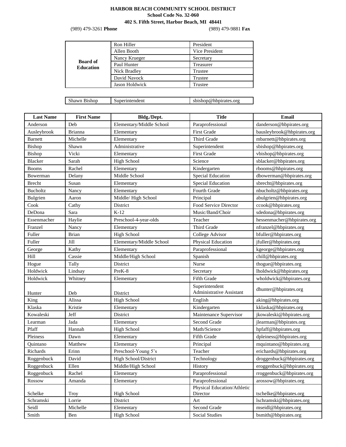## **HARBOR BEACH COMMUNITY SCHOOL DISTRICT School Code No. 32-060**

**402 S. Fifth Street, Harbor Beach, MI 48441** 

(989) 479-3261 **Phone** (989) 479-9881 **Fax**

|                                     | Ron Hiller     | President      |  |
|-------------------------------------|----------------|----------------|--|
|                                     | Allen Booth    | Vice President |  |
|                                     | Nancy Krueger  | Secretary      |  |
| <b>Board of</b><br><b>Education</b> | Paul Hunter    | Treasurer      |  |
|                                     | Nick Bradley   | Trustee        |  |
|                                     | David Navock   | Trustee        |  |
|                                     | Jason Holdwick | Trustee        |  |
|                                     |                |                |  |

| Shawn Bishop | Superintendent | sbishop@hbpirates.org |
|--------------|----------------|-----------------------|
|--------------|----------------|-----------------------|

| <b>Last Name</b> | <b>First Name</b> | Bldg./Dept.              | <b>Title</b>                            | <b>Email</b>               |
|------------------|-------------------|--------------------------|-----------------------------------------|----------------------------|
| Anderson         | Deb               | Elementary/Middle School | Paraprofessional                        | danderson@hbpirates.org    |
| Ausleybrook      | Brianna           | Elementary               | <b>First Grade</b>                      | bausleybrook@hbpirates.org |
| <b>Barnett</b>   | Michelle          | Elementary               | Third Grade                             | mbarnett@hbpirates.org     |
| Bishop           | Shawn             | Administrative           | Superintendent                          | sbishop@hbpirates.org      |
| Bishop           | Vicki             | Elementary               | First Grade                             | vbishop@hbpirates.org      |
| Blacker          | Sarah             | <b>High School</b>       | Science                                 | sblacker@hbpirates.org     |
| <b>Booms</b>     | Rachel            | Elementary               | Kindergarten                            | rbooms@hbpirates.org       |
| Bowerman         | Delany            | Middle School            | <b>Special Education</b>                | dbowerman@hbpirates.org    |
| Brecht           | Susan             | Elementary               | Special Education                       | sbrecht@hbpirates.org      |
| <b>Bucholtz</b>  | Nancy             | Elementary               | Fourth Grade                            | nbucholtz@hbpirates.org    |
| Bulgrien         | Aaron             | Middle/High School       | Principal                               | abulgrien@hbpirates.org    |
| Cook             | Cathy             | District                 | Food Service Director                   | ccook@hbpirates.org        |
| DeDona           | Sara              | $K-12$                   | Music/Band/Choir                        | sdedona@hbpirates.org      |
| Essenmacher      | Haylie            | Preschool-4-year-olds    | Teacher                                 | hessenmacher@hbpirates.org |
| Franzel          | Nancy             | Elementary               | Third Grade                             | nfranzel@hbpirates.org     |
| Fuller           | <b>Brian</b>      | High School              | College Advisor                         | bfuller@hbpirates.org      |
| Fuller           | Jill              | Elementary/Middle School | Physical Education                      | jfuller@hbpirates.org      |
| George           | Kathy             | Elementary               | Paraprofessional                        | kgeorge@hbpirates.org      |
| Hill             | Cassie            | Middle/High School       | Spanish                                 | chill@hbpirates.org        |
| Hogue            | Tally             | District                 | Nurse                                   | thogue@hbpirates.org       |
| Holdwick         | Lindsay           | PreK-8                   | Secretary                               | lholdwick@hbpirates.org    |
| Holdwick         | Whitney           | Elementary               | Fifth Grade                             | wholdwick@hbpirates.org    |
|                  |                   |                          | Superintendent                          | dhunter@hbpirates.org      |
| Hunter           | Deb               | District                 | Administrative Assistant                |                            |
| King             | Alissa            | <b>High School</b>       | English                                 | aking@hbpirates.org        |
| Klaska           | Kristie           | Elementary               | Kindergarten                            | kklaska@hbpirates.org      |
| Kowaleski        | Jeff              | District                 | Maintenance Supervisor                  | jkowaleski@hbpirates.org   |
| Learman          | Jada              | Elementary               | Second Grade                            | jlearman@hbpirates.org     |
| Pfaff            | Hannah            | <b>High School</b>       | Math/Science                            | hpfaff@hbpirates.org       |
| Pleiness         | Dawn              | Elementary               | Fifth Grade                             | dpleiness@hbpirates.org    |
| Ouintano         | Matthew           | Elementary               | Principal                               | mquintano@hbpirates.org    |
| Richards         | Erinn             | Preschool-Young 5's      | Teacher                                 | erichards@hbpirates.org    |
| Roggenbuck       | David             | High School/District     | Technology                              | droggenbuck@hbpirates.org  |
| Roggenbuck       | Ellen             | Middle/High School       | <b>History</b>                          | eroggenbuck@hbpirates.org  |
| Roggenbuck       | Rachel            | Elementary               | Paraprofessional                        | rroggenbuck@hbpirates.org  |
| Rossow           | Amanda            | Elementary               | Paraprofessional                        | arossow@hbpirates.org      |
| Schelke          | Troy              | <b>High School</b>       | Physical Education/Athletic<br>Director | tschelke@hbpirates.org     |
| Schramski        | Lorrie            | District                 | Art                                     | lschramski@hbpirates.org   |
| Seidl            | Michelle          | Elementary               | Second Grade                            | mseidl@hbpirates.org       |
| Smith            | Ben               | <b>High School</b>       | <b>Social Studies</b>                   | bsmith@hbpirates.org       |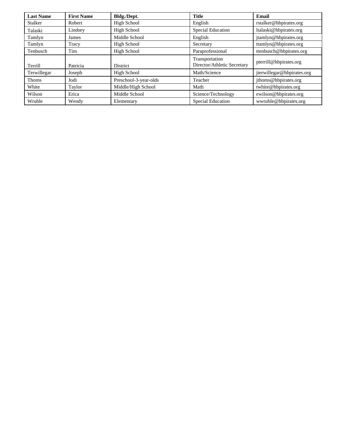| <b>Last Name</b> | <b>First Name</b> | Bldg./Dept.           | <b>Title</b>                                  | Email                      |
|------------------|-------------------|-----------------------|-----------------------------------------------|----------------------------|
| Stalker          | Robert            | High School           | English                                       | rstalker@hbpirates.org     |
| Talaski          | Lindsey           | High School           | Special Education                             | ltalaski@hbpirates.org     |
| Tamlyn           | James             | Middle School         | English                                       | jtamlyn@hbpirates.org      |
| Tamlyn           | Tracy             | High School           | Secretary                                     | ttamlyn@hbpirates.org      |
| Tenbusch         | Tim               | High School           | Paraprofessional                              | ttenbusch@hbpirates.org    |
| Terrill          | Patricia          | District              | Transportation<br>Director/Athletic Secretary | pterrill@hbpirates.org     |
| Terwillegar      | Joseph            | High School           | Math/Science                                  | jterwillegar@hbpirates.org |
| <b>Thoms</b>     | Jodi              | Preschool-3-year-olds | Teacher                                       | jthoms@hbpirates.org       |
| White            | Taylor            | Middle/High School    | Math                                          | twhite@hbpirates.org       |
| Wilson           | Erica             | Middle School         | Science/Technology                            | ewilson@hbpirates.org      |
| Wruble           | Wendy             | Elementary            | Special Education                             | wwruble@hbpirates.org      |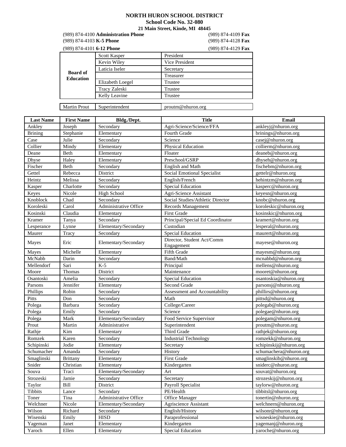### **NORTH HURON SCHOOL DISTRICT**

**School Code No. 32-080** 

**21 Main Street, Kinde, MI 48445**

 (989) 874-4100 **Administration Phone** (989) 874-4109 **Fax** (989) 874-4103 **K-5 Phone** (989) 874-4128 **Fax**

| (989) 874-4101 6-12 Phone           |                  | (989) 874-4129 Fax |
|-------------------------------------|------------------|--------------------|
|                                     | Scott Kasper     | President          |
|                                     | Kevin Wiley      | Vice President     |
|                                     | Laticia Iseler   | Secretary          |
| <b>Board of</b><br><b>Education</b> |                  | Treasurer          |
|                                     | Elizabeth Loegel | Trustee            |
|                                     | Tracy Zaleski    | Trustee            |
|                                     | Kelly Leavine    | Trustee            |
|                                     |                  |                    |
| <b>Martin Prout</b>                 | Superintendent   | proutm@nhuron.org  |

| <b>Last Name</b> | <b>First Name</b> | Bldg./Dept.           | <b>Title</b>                     | Email                  |
|------------------|-------------------|-----------------------|----------------------------------|------------------------|
| Ankley           | Joseph            | Secondary             | Agri-Science/Science/FFA         | ankleyj@nhuron.org     |
| <b>Brining</b>   | Stephanie         | Elementary            | Fourth Grade                     | brinings@nhuron.org    |
| Case             | Julie             | Secondary             | Science                          | casej@nhuron.org       |
| Collier          | Mindy             | Elementary            | Physical Education               | collierm@nhuron.org    |
| Deane            | Beth              | Elementary            | Floater                          | deaneb@nhuron.org      |
| Dhyse            | Haley             | Elementary            | Preschool/GSRP                   | dhyseh@nhuron.org      |
| Fischer          | Beth              | Secondary             | <b>English and Math</b>          | fischebm@nhuron.org    |
| Gettel           | Rebecca           | District              | Social Emotional Specialist      | gettelr@nhuron.org     |
| Heintz           | Melissa           | Secondary             | English/French                   | hehintzm@nhuron.org    |
| Kasper           | Charlotte         | Secondary             | <b>Special Education</b>         | kasperc@nhuron.org     |
| Keyes            | Nicole            | <b>High School</b>    | Agri-Science Assistant           | keyesn@nhuron.org      |
| Knoblock         | Chad              | Secondary             | Social Studies/Athletic Director | knobc@nhuron.org       |
| Koroleski        | Carol             | Administrative Office | Records Management               | koroleskic@nhuron.org  |
| Kosinski         | Claudia           | Elementary            | <b>First Grade</b>               | kosinskic@nhuron.org   |
| Kramer           | Tanya             | Secondary             | Principal/Special Ed Coordinator | kramert@nhuron.org     |
| Lesperance       | Lynne             | Elementary/Secondary  | Custodian                        | lesperal@nhuron.org    |
| Maurer           | Tracy             | Secondary             | <b>Special Education</b>         | maurert@nhuron.org     |
|                  | Eric              |                       | Director, Student Act/Comm       | mayese@nhuron.org      |
| Mayes            |                   | Elementary/Secondary  | Engagement                       |                        |
| Mayes            | Michelle          | Elementary            | Fifth Grade                      | mayesm@nhuron.org      |
| McNabb           | Darin             | Secondary             | Band/Math                        | mcnabbd@nhuron.org     |
| Mellendorf       | Sari              | $K-5$                 | Principal                        | mellens@nhuron.org     |
| Moore            | Thomas            | District              | Maintenance                      | mooret@nhuron.org      |
| Osantoski        | Amelia            | Secondary             | <b>Special Education</b>         | osantoskia@nhuron.org  |
| Parsons          | Jennifer          | Elementary            | Second Grade                     | parsonsj@nhuron.org    |
| Phillips         | Robin             | Secondary             | Assessment and Accountability    | phillirs@nhuron.org    |
| Pitts            | Don               | Secondary             | Math                             | pittsd@nhuron.org      |
| Polega           | Barbara           | Secondary             | College/Career                   | polegab@nhuron.org     |
| Polega           | Emily             | Secondary             | Science                          | polegae@nhuron.org     |
| Polega           | Mark              | Elementary/Secondary  | Food Service Supervisor          | polegam@nhuron.org     |
| Prout            | Martin            | Administrative        | Superintendent                   | proutm@nhuron.org      |
| Rathje           | Kim               | Elementary            | Third Grade                      | rathjek@nhuron.org     |
| Romzek           | Karen             | Secondary             | <b>Industrial Technology</b>     | romzekk@nhuron.org     |
| Schipinski       | Jodie             | Elementary            | Secretary                        | schipinskij@nhuron.org |
| Schumacher       | Amanda            | Secondary             | History                          | schumachera@nhuron.org |
| Smaglinski       | <b>Brittany</b>   | Elementary            | First Grade                      | smaglinskib@nhuron.org |
| Snider           | Christian         | Elementary            | Kindergarten                     | sniderc@nhuron.org     |
| Souva            | Traci             | Elementary/Secondary  | Art                              | souvat@nhuron.org      |
| Strozeski        | Jamie             | Secondary             | Secretary                        | strozeskij@nhuron.org  |
| Taylor           | Bill              | District              | Payroll Specialist               | taylorw@nhuron.org     |
| Tibbits          | Lance             | Secondary             | PE/Health                        | tibbitsl@nhuron.org    |
| Toner            | Tina              | Administrative Office | Office Manager                   | tonertin@nhuron.org    |
| Welchner         | Nicole            | Elementary/Secondary  | Agriscience Assistant            | welchnern@nhuron.org   |
| Wilson           | Richard           | Secondary             | English/History                  | wilsonr@nhuron.org     |
| Wisenski         | Emily             | <b>HISD</b>           | Paraprofessional                 | wisneskie@nhuron.org   |
| Yageman          | Janet             | Elementary            | Kindergarten                     | yagemanj@nhuron.org    |
| Yaroch           | Ellen             | Elementary            | <b>Special Education</b>         | yaroche@nhuron.org     |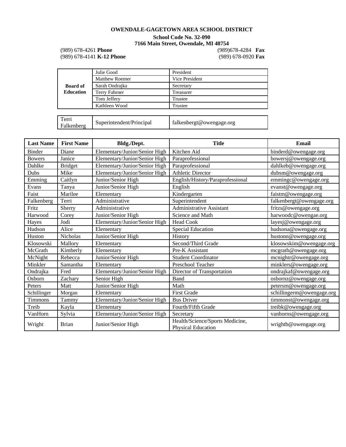# **OWENDALE-GAGETOWN AREA SCHOOL DISTRICT School Code No. 32-090 7166 Main Street, Owendale, MI 48754**

(989) 678-4261 **Phone** (989)678-4284 **Fax** (989) 678-4141 **K-12 Phone** 

|                     | Julie Good               | President                |
|---------------------|--------------------------|--------------------------|
|                     | <b>Matthew Roemer</b>    | Vice President           |
| <b>Board of</b>     | Sarah Ondrajka           | Secretary                |
| <b>Education</b>    | Terry Fahrner            | Treasurer                |
|                     | Tom Jeffery              | Trustee                  |
|                     | Kathleen Wood            | Trustee                  |
|                     |                          |                          |
| Terri<br>Falkenberg | Superintendent/Principal | falkenbergt@owengage.org |

| <b>Last Name</b> | <b>First Name</b> | Bldg./Dept.                   | <b>Title</b>                                          | Email                     |
|------------------|-------------------|-------------------------------|-------------------------------------------------------|---------------------------|
| <b>Binder</b>    | Diane             | Elementary/Junior/Senior High | Kitchen Aid                                           | binderd@owengage.org      |
| <b>Bowers</b>    | Janice            | Elementary/Junior/Senior High | Paraprofessional                                      | bowersj@owengage.org      |
| Dahlke           | <b>Bridget</b>    | Elementary/Junior/Senior High | Paraprofessional                                      | dahlkeb@owengage.org      |
| Dubs             | Mike              | Elementary/Junior/Senior High | <b>Athletic Director</b>                              | dubsm@owengage.org        |
| Emming           | Caitlyn           | Junior/Senior High            | English/History/Paraprofessional                      | emmingc@owengage.org      |
| Evans            | Tanya             | Junior/Senior High            | English                                               | evanst@owengage.org       |
| Faist            | Marilee           | Elementary                    | Kindergarten                                          | faistm@owengage.org       |
| Falkenberg       | Terri             | Administrative                | Superintendent                                        | falkenbergt@owengage.org  |
| Fritz            | Sherry            | Administrative                | Administrative Assistant                              | fritzs@owengage.org       |
| Harwood          | Corey             | Junior/Senior High            | Science and Math                                      | harwoodc@owengae.org      |
| Hayes            | Jodi              | Elementary/Junior/Senior High | Head Cook                                             | layesj@owengage.org       |
| Hudson           | Alice             | Elementary                    | Special Education                                     | hudsona@owengage.org      |
| Huston           | <b>Nicholas</b>   | Junior/Senior High            | History                                               | hustonn@owengage.org      |
| Klosowski        | Mallory           | Elementary                    | Second/Third Grade                                    | klosowskim@owengage.org   |
| McGrath          | Kimberly          | Elementary                    | Pre-K Assistant                                       | mcgrath@owengage.org      |
| McNight          | Rebecca           | Junior/Senior High            | <b>Student Coordinator</b>                            | mcnightr@owengage.org     |
| Minkler          | Samantha          | Elementary                    | Preschool Teacher                                     | minklers@owengage.org     |
| Ondrajka         | Fred              | Elementary/Junior/Senior High | Director of Transportation                            | ondrajkaf@owengage.org    |
| Osborn           | Zachary           | Senior High                   | Band                                                  | osbornz@owengage.org      |
| Peters           | Matt              | Junior/Senior High            | Math                                                  | petersm@owengage.org      |
| Schillinger      | Morgan            | Elementary                    | <b>First Grade</b>                                    | schillingerm@owengage.org |
| <b>Timmons</b>   | Tammy             | Elementary/Junior/Senior High | <b>Bus Driver</b>                                     | timmonst@owengage.org     |
| Treib            | Kayla             | Elementary                    | Fourth/Fifth Grade                                    | treibk@owengage.org       |
| VanHorn          | Sylvia            | Elementary/Junior/Senior High | Secretary                                             | vanhorns@owengage.org     |
| Wright           | <b>Brian</b>      | Junior/Senior High            | Health/Science/Sports Medicine,<br>Physical Education | wrightb@owengage.org      |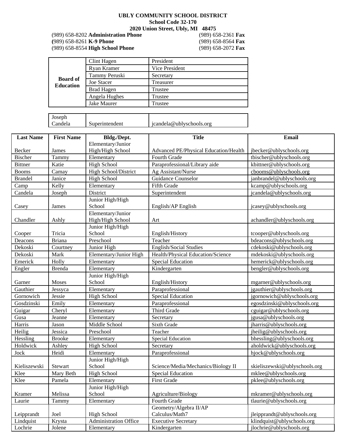# **UBLY COMMUNITY SCHOOL DISTRICT**

**School Code 32-170**

**2020 Union Street, Ubly, MI 48475**

(989) 658-8202 **Administration Phone** (989) 658 -2361 **Fax (**989) 658-8261 **K-9 Phone** (989) 658-8564 **Fax** (989) 658-8554 **High School Phone** (989) 658-2072 **Fax**

|                                     | Clint Hagen       | President      |
|-------------------------------------|-------------------|----------------|
|                                     | Ryan Kramer       | Vice President |
|                                     | Tammy Peruski     | Secretary      |
| <b>Board of</b><br><b>Education</b> | <b>Joe Stacer</b> | Treasurer      |
|                                     | <b>Brad Hagen</b> | Trustee        |
|                                     | Angela Hughes     | Trustee        |
|                                     | Jake Maurer       | Trustee        |
|                                     |                   |                |

| Joseph  |                |                          |
|---------|----------------|--------------------------|
| Candela | Superintendent | jcandela@ublyschools.org |

| <b>Last Name</b> | <b>First Name</b> | Bldg./Dept.                  | <b>Title</b>                          | <b>Email</b>                  |
|------------------|-------------------|------------------------------|---------------------------------------|-------------------------------|
|                  |                   | Elementary/Junior            |                                       |                               |
| Becker           | James             | High/High School             | Advanced PE/Physical Education/Health | jbecker@ublyschools.org       |
| <b>Bischer</b>   | Tammy             | Elementary                   | Fourth Grade                          | tbischer@ublyschools.org      |
| <b>Bittner</b>   | Katie             | <b>High School</b>           | Paraprofessional/Library aide         | kbittner@ublyschools.org      |
| <b>Booms</b>     | Camay             | High School/District         | Ag Assistant/Nurse                    | cbooms@ublyschools.org        |
| <b>Brandel</b>   | Janice            | <b>High School</b>           | Guidance Counselor                    | janbrandel@ublyschools.org    |
| Camp             | Kelly             | Elementary                   | Fifth Grade                           | kcamp@ublyschools.org         |
| Candela          | Joseph            | District                     | Superintendent                        | jcandela@ublyschools.org      |
|                  |                   | Junior High/High             |                                       |                               |
| Casey            | James             | School                       | English/AP English                    | jcasey@ublyschools.org        |
|                  |                   | Elementary/Junior            |                                       |                               |
| Chandler         | Ashly             | High/High School             | Art                                   | achandler@ublyschools.org     |
|                  |                   | Junior High/High             |                                       |                               |
| Cooper           | Tricia            | School                       | English/History                       | tcooper@ublyschools.org       |
| Deacons          | <b>Briana</b>     | Preschool                    | Teacher                               | bdeacons@ublyschools.org      |
| Dekoski          | Courtney          | Junior High                  | <b>English/Social Studies</b>         | cdekoski@ublyschools.org      |
| Dekoski          | Mark              | Elementary/Junior High       | Health/Physical Education/Science     | mdekoski@ublyschools.org      |
| Emerick          | Holly             | Elementary                   | <b>Special Education</b>              | hemerick@ublyschools.org      |
| Engler           | <b>Brenda</b>     | Elementary                   | Kindergarten                          | bengler@ublyschools.org       |
|                  |                   | Junior High/High             |                                       |                               |
| Garner           | <b>Moses</b>      | School                       | English/History                       | mgarner@ublyschools.org       |
| Gauthier         | Jessyca           | Elementary                   | Paraprofessional                      | jgauthier@ublyschools.org     |
| Gornowich        | Jessie            | <b>High School</b>           | <b>Special Education</b>              | jgornowich@ublyschools.org    |
| Gosdzinski       | Emily             | Elementary                   | Paraprofessional                      | egosdzinski@ublyschools.org   |
| Guigar           | Cheryl            | Elementary                   | Third Grade                           | cguigar@ublyschools.org       |
| Gusa             | Jeanne            | Elementary                   | Secretary                             | jgusa@ublyschools.org         |
| Harris           | Jason             | Middle School                | Sixth Grade                           | jharris@ublyschools.org       |
| Heilig           | Jessica           | Preschool                    | Teacher                               | jheilig@ublyschools.org       |
| Hessling         | <b>Brooke</b>     | Elementary                   | <b>Special Education</b>              | bhessling@ublyschools.org     |
| Holdwick         | Ashley            | <b>High School</b>           | Secretary                             | aholdwick@ublyschools.org     |
| Jock             | Heidi             | Elementary                   | Paraprofessional                      | hjock@ublyschools.org         |
|                  |                   | Junior High/High             |                                       |                               |
| Kieliszewski     | Stewart           | School                       | Science/Media/Mechanics/Biology II    | skieliszewski@ublyschools.org |
| Klee             | Mary Beth         | <b>High School</b>           | <b>Special Education</b>              | mklee@ublyschools.org         |
| Klee             | Pamela            | Elementary                   | First Grade                           | pklee@ublyschools.org         |
|                  |                   | Junior High/High             |                                       |                               |
| Kramer           | Melissa           | School                       | Agriculture/Biology                   | mkramer@ublyschools.org       |
| Laurie           | Tammy             | Elementary                   | Fourth Grade                          | tlaurie@ublyschools.org       |
|                  |                   |                              | Geometry/Algebra II/AP                |                               |
| Leipprandt       | Joel              | <b>High School</b>           | Calculus/Math7                        | jleipprandt@ublyschools.org   |
| Lindquist        | Krysta            | <b>Administration Office</b> | <b>Executive Secretary</b>            | klindquist@ublyschools.org    |
| Lochrie          | Jolene            | Elementary                   | Kindergarten                          | jlochrie@ublyschools.org      |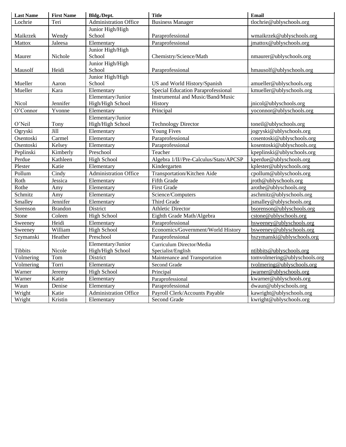| <b>Last Name</b> | <b>First Name</b> | Bldg./Dept.           | <b>Title</b>                              | <b>Email</b>                 |
|------------------|-------------------|-----------------------|-------------------------------------------|------------------------------|
| Lochrie          | Teri              | Administration Office | <b>Business Manager</b>                   | tlochrie@ublyschools.org     |
|                  |                   | Junior High/High      |                                           |                              |
| Maikrzek         | Wendy             | School                | Paraprofessional                          | wmaikrzek@ublyschools.org    |
| Mattox           | Jaleesa           | Elementary            | Paraprofessional                          | jmattox@ublyschools.org      |
|                  |                   | Junior High/High      |                                           |                              |
| Maurer           | Nichole           | School                | Chemistry/Science/Math                    | nmaurer@ublyschools.org      |
|                  |                   | Junior High/High      |                                           |                              |
| Mausolf          | Heidi             | School                | Paraprofessional                          | hmausolf@ublyschools.org     |
|                  |                   | Junior High/High      |                                           |                              |
| Mueller          | Aaron             | School                | US and World History/Spanish              | amueller@ublyschools.org     |
| Mueller          | Kara              | Elementary            | <b>Special Education Paraprofessional</b> | kmueller@ublyschools.org     |
|                  |                   | Elementary/Junior     | <b>Instrumental and Music/Band/Music</b>  |                              |
| Nicol            | Jennifer          | High/High School      | History                                   | jnicol@ublyschools.org       |
| O'Connor         | Yvonne            | Elementary            | Principal                                 | yoconnor@ublyschools.org     |
|                  |                   | Elementary/Junior     |                                           |                              |
| O'Neil           | Tony              | High/High School      | <b>Technology Director</b>                | toneil@ublyschools.org       |
| Ogryski          | Jill              | Elementary            | <b>Young Fives</b>                        | jogryski@ublyschools.org     |
| Osentoski        | Carmel            | Elementary            | Paraprofessional                          | cosentoski@ublyschools.org   |
| Osentoski        | Kelsey            | Elementary            | Paraprofessional                          | kosentoski@ublyschools.org   |
| Peplinski        | Kimberly          | Preschool             | Teacher                                   | kpeplinski@ublyschools.org   |
| Perdue           | Kathleen          | <b>High School</b>    | Algebra 1/II//Pre-Calculus/Stats/APCSP    | kperdue@ublyschools.org      |
| Plester          | Katie             | Elementary            | $\overline{\text{K}}$ indergarten         | kplester@ublyschools.org     |
| Pollum           | Cindy             | Administration Office | Transportation/Kitchen Aide               | cpollum@ublyschools.org      |
| Roth             | Jessica           | Elementary            | <b>Fifth Grade</b>                        | jroth@ublyschools.org        |
| Rothe            | Amy               | Elementary            | First Grade                               | arothe@ublyschools.org       |
| Schmitz          | Amy               | Elementary            | Science/Computers                         | aschmitz@ublyschools.org     |
| Smalley          | Jennifer          | Elementary            | Third Grade                               | jsmalley@ublyschools.org     |
| Sorenson         | <b>Brandon</b>    | District              | <b>Athletic Director</b>                  | bsorenson@ublyschools.org    |
| Stone            | Coleen            | <b>High School</b>    | Eighth Grade Math/Algebra                 | cstone@ublyschools.org       |
| Sweeney          | Heidi             | Elementary            | Paraprofessional                          | hsweeney@ublyschools.org     |
| Sweeney          | William           | <b>High School</b>    | Economics/Government/World History        | bsweeney@ublyschools.org     |
| Szymanski        | Heather           | Preschool             | Paraprofessional                          | hszymanski@ublyschools.org   |
|                  |                   | Elementary/Junior     | Curriculum Director/Media                 |                              |
| Tibbits          | Nicole            | High/High School      | Specialist/English                        | ntibbits@ublyschools.org     |
| Volmering        | Tom               | District              | Maintenance and Transportation            | tomvolmering@ublyschools.org |
| Volmering        | Torri             | Elementary            | Second Grade                              | tvolmering@ublyschools.org   |
| Warner           | Jeremy            | <b>High School</b>    | Principal                                 | jwarner@ublyschools.org      |
| Warner           | Katie             | Elementary            | Paraprofessional                          | kwarner@ublyschools.org      |
| Waun             | Denise            | Elementary            | Paraprofessional                          | dwaun@ublyschools.org        |
| Wright           | Katie             | Administration Office | Payroll Clerk/Accounts Payable            | kawright@ublyschools.org     |
| Wright           | Kristin           | Elementary            | Second Grade                              | kwright@ublyschools.org      |